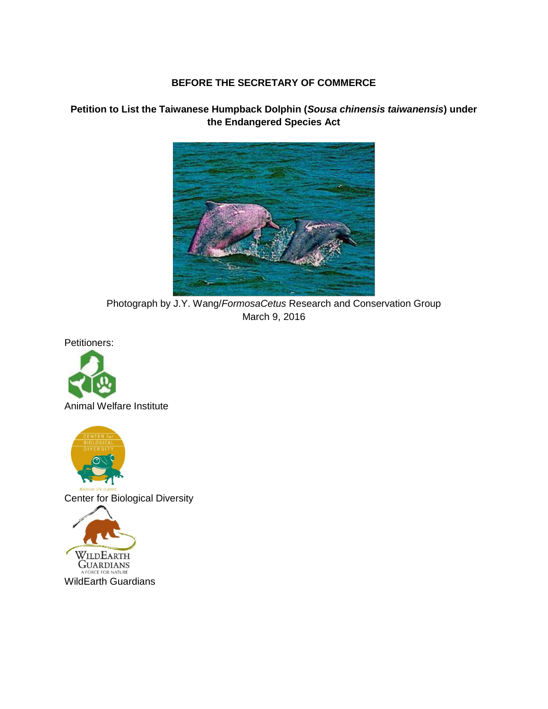#### **BEFORE THE SECRETARY OF COMMERCE**



**Petition to List the Taiwanese Humpback Dolphin (***Sousa chinensis taiwanensis***) under the Endangered Species Act**

Photograph by J.Y. Wang/*FormosaCetus* Research and Conservation Group March 9, 2016

Petitioners:





**GUARDIANS** A FORCE FOR NATURE

WildEarth Guardians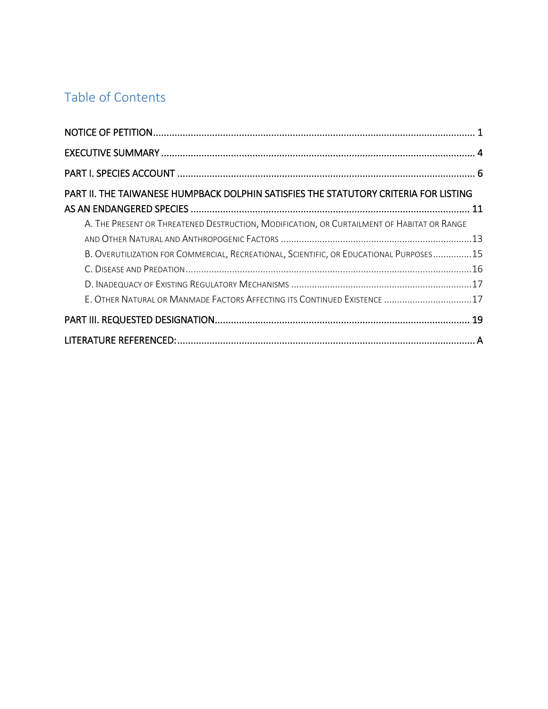# Table of Contents

| PART II. THE TAIWANESE HUMPBACK DOLPHIN SATISFIES THE STATUTORY CRITERIA FOR LISTING       |  |
|--------------------------------------------------------------------------------------------|--|
|                                                                                            |  |
| A. THE PRESENT OR THREATENED DESTRUCTION, MODIFICATION, OR CURTAILMENT OF HABITAT OR RANGE |  |
|                                                                                            |  |
| B. OVERUTILIZATION FOR COMMERCIAL, RECREATIONAL, SCIENTIFIC, OR EDUCATIONAL PURPOSES15     |  |
|                                                                                            |  |
|                                                                                            |  |
| E. OTHER NATURAL OR MANMADE FACTORS AFFECTING ITS CONTINUED EXISTENCE 17                   |  |
|                                                                                            |  |
|                                                                                            |  |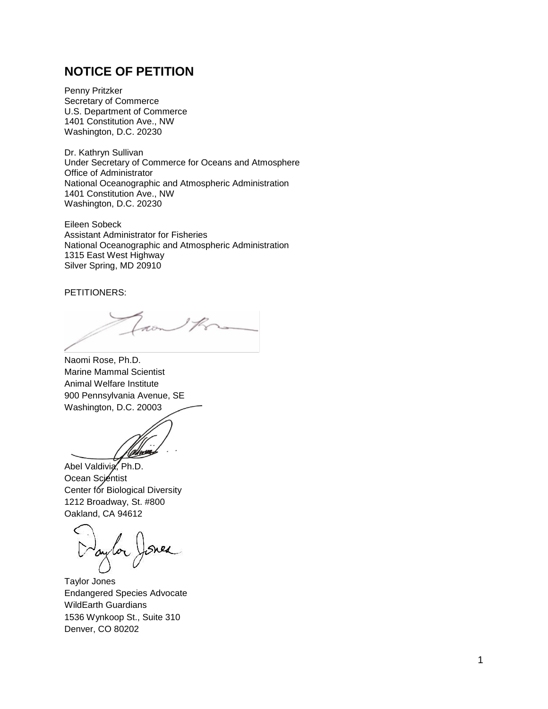### <span id="page-2-0"></span>**NOTICE OF PETITION**

Penny Pritzker Secretary of Commerce U.S. Department of Commerce 1401 Constitution Ave., NW Washington, D.C. 20230

Dr. Kathryn Sullivan Under Secretary of Commerce for Oceans and Atmosphere Office of Administrator National Oceanographic and Atmospheric Administration 1401 Constitution Ave., NW Washington, D.C. 20230

Eileen Sobeck Assistant Administrator for Fisheries National Oceanographic and Atmospheric Administration 1315 East West Highway Silver Spring, MD 20910

#### PETITIONERS:

for the

Naomi Rose, Ph.D. Marine Mammal Scientist Animal Welfare Institute 900 Pennsylvania Avenue, SE Washington, D.C. 20003

Abel Valdivia, Ph.D. Ocean Scientist Center for Biological Diversity 1212 Broadway, St. #800 Oakland, CA 94612

aylor) Sned

Taylor Jones Endangered Species Advocate WildEarth Guardians 1536 Wynkoop St., Suite 310 Denver, CO 80202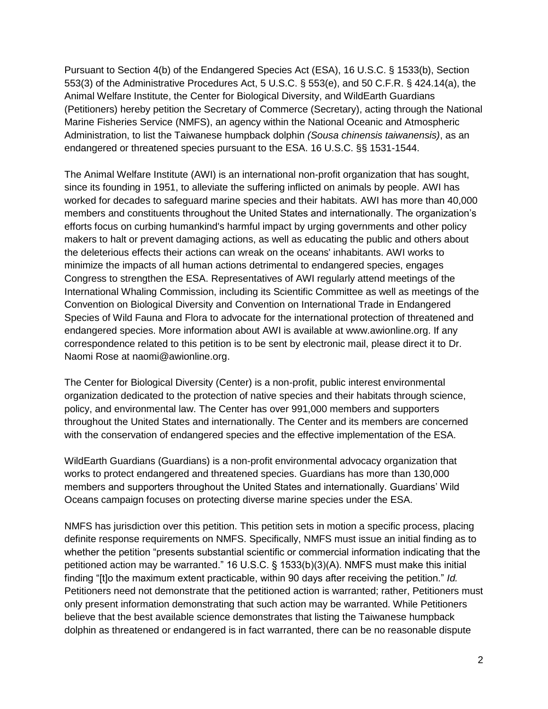Pursuant to Section 4(b) of the Endangered Species Act (ESA), 16 U.S.C. § 1533(b), Section 553(3) of the Administrative Procedures Act, 5 U.S.C. § 553(e), and 50 C.F.R. § 424.14(a), the Animal Welfare Institute, the Center for Biological Diversity, and WildEarth Guardians (Petitioners) hereby petition the Secretary of Commerce (Secretary), acting through the National Marine Fisheries Service (NMFS), an agency within the National Oceanic and Atmospheric Administration, to list the Taiwanese humpback dolphin *(Sousa chinensis taiwanensis)*, as an endangered or threatened species pursuant to the ESA. 16 U.S.C. §§ 1531-1544.

The Animal Welfare Institute (AWI) is an international non-profit organization that has sought, since its founding in 1951, to alleviate the suffering inflicted on animals by people. AWI has worked for decades to safeguard marine species and their habitats. AWI has more than 40,000 members and constituents throughout the United States and internationally. The organization's efforts focus on curbing humankind's harmful impact by urging governments and other policy makers to halt or prevent damaging actions, as well as educating the public and others about the deleterious effects their actions can wreak on the oceans' inhabitants. AWI works to minimize the impacts of all human actions detrimental to endangered species, engages Congress to strengthen the ESA. Representatives of AWI regularly attend meetings of the International Whaling Commission, including its Scientific Committee as well as meetings of the Convention on Biological Diversity and Convention on International Trade in Endangered Species of Wild Fauna and Flora to advocate for the international protection of threatened and endangered species. More information about AWI is available at www.awionline.org. If any correspondence related to this petition is to be sent by electronic mail, please direct it to Dr. Naomi Rose at naomi@awionline.org.

The Center for Biological Diversity (Center) is a non-profit, public interest environmental organization dedicated to the protection of native species and their habitats through science, policy, and environmental law. The Center has over 991,000 members and supporters throughout the United States and internationally. The Center and its members are concerned with the conservation of endangered species and the effective implementation of the ESA.

WildEarth Guardians (Guardians) is a non-profit environmental advocacy organization that works to protect endangered and threatened species. Guardians has more than 130,000 members and supporters throughout the United States and internationally. Guardians' Wild Oceans campaign focuses on protecting diverse marine species under the ESA.

NMFS has jurisdiction over this petition. This petition sets in motion a specific process, placing definite response requirements on NMFS. Specifically, NMFS must issue an initial finding as to whether the petition "presents substantial scientific or commercial information indicating that the petitioned action may be warranted." 16 U.S.C. § 1533(b)(3)(A). NMFS must make this initial finding "[t]o the maximum extent practicable, within 90 days after receiving the petition." *Id.* Petitioners need not demonstrate that the petitioned action is warranted; rather, Petitioners must only present information demonstrating that such action may be warranted. While Petitioners believe that the best available science demonstrates that listing the Taiwanese humpback dolphin as threatened or endangered is in fact warranted, there can be no reasonable dispute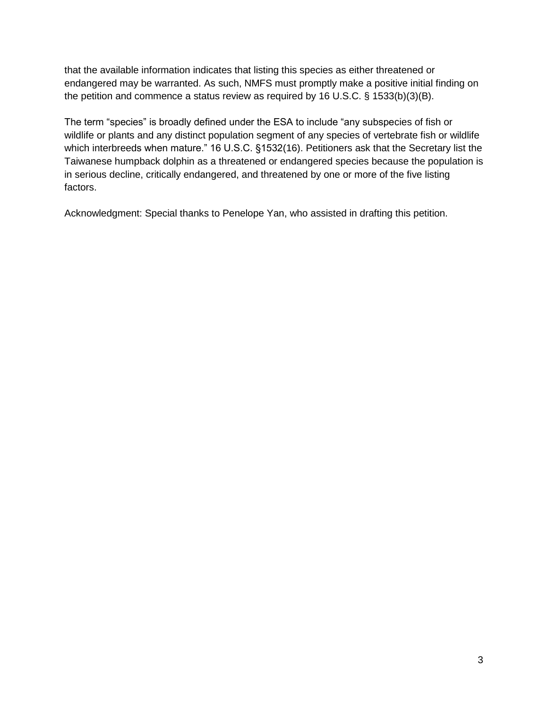that the available information indicates that listing this species as either threatened or endangered may be warranted. As such, NMFS must promptly make a positive initial finding on the petition and commence a status review as required by 16 U.S.C. § 1533(b)(3)(B).

The term "species" is broadly defined under the ESA to include "any subspecies of fish or wildlife or plants and any distinct population segment of any species of vertebrate fish or wildlife which interbreeds when mature." 16 U.S.C. §1532(16). Petitioners ask that the Secretary list the Taiwanese humpback dolphin as a threatened or endangered species because the population is in serious decline, critically endangered, and threatened by one or more of the five listing factors.

Acknowledgment: Special thanks to Penelope Yan, who assisted in drafting this petition.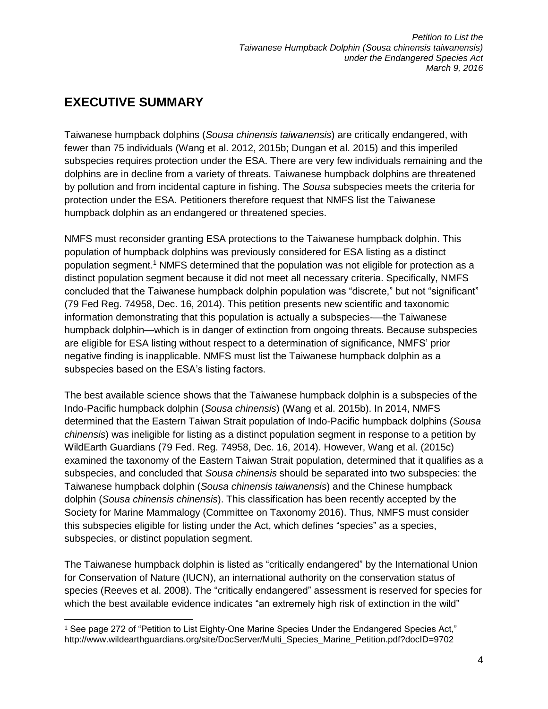# <span id="page-5-0"></span>**EXECUTIVE SUMMARY**

Taiwanese humpback dolphins (*Sousa chinensis taiwanensis*) are critically endangered, with fewer than 75 individuals (Wang et al. 2012, 2015b; Dungan et al. 2015) and this imperiled subspecies requires protection under the ESA. There are very few individuals remaining and the dolphins are in decline from a variety of threats. Taiwanese humpback dolphins are threatened by pollution and from incidental capture in fishing. The *Sousa* subspecies meets the criteria for protection under the ESA. Petitioners therefore request that NMFS list the Taiwanese humpback dolphin as an endangered or threatened species.

NMFS must reconsider granting ESA protections to the Taiwanese humpback dolphin. This population of humpback dolphins was previously considered for ESA listing as a distinct population segment.<sup>1</sup> NMFS determined that the population was not eligible for protection as a distinct population segment because it did not meet all necessary criteria. Specifically, NMFS concluded that the Taiwanese humpback dolphin population was "discrete," but not "significant" (79 Fed Reg. 74958, Dec. 16, 2014). This petition presents new scientific and taxonomic information demonstrating that this population is actually a subspecies-—the Taiwanese humpback dolphin—which is in danger of extinction from ongoing threats. Because subspecies are eligible for ESA listing without respect to a determination of significance, NMFS' prior negative finding is inapplicable. NMFS must list the Taiwanese humpback dolphin as a subspecies based on the ESA's listing factors.

The best available science shows that the Taiwanese humpback dolphin is a subspecies of the Indo-Pacific humpback dolphin (*Sousa chinensis*) (Wang et al. 2015b). In 2014, NMFS determined that the Eastern Taiwan Strait population of Indo-Pacific humpback dolphins (*Sousa chinensis*) was ineligible for listing as a distinct population segment in response to a petition by WildEarth Guardians (79 Fed. Reg. 74958, Dec. 16, 2014). However, Wang et al. (2015c) examined the taxonomy of the Eastern Taiwan Strait population, determined that it qualifies as a subspecies, and concluded that *Sousa chinensis* should be separated into two subspecies: the Taiwanese humpback dolphin (*Sousa chinensis taiwanensis*) and the Chinese humpback dolphin (*Sousa chinensis chinensis*). This classification has been recently accepted by the Society for Marine Mammalogy (Committee on Taxonomy 2016). Thus, NMFS must consider this subspecies eligible for listing under the Act, which defines "species" as a species, subspecies, or distinct population segment.

The Taiwanese humpback dolphin is listed as "critically endangered" by the International Union for Conservation of Nature (IUCN), an international authority on the conservation status of species (Reeves et al. 2008). The "critically endangered" assessment is reserved for species for which the best available evidence indicates "an extremely high risk of extinction in the wild"

 <sup>1</sup> See page 272 of "Petition to List Eighty-One Marine Species Under the Endangered Species Act," http://www.wildearthguardians.org/site/DocServer/Multi\_Species\_Marine\_Petition.pdf?docID=9702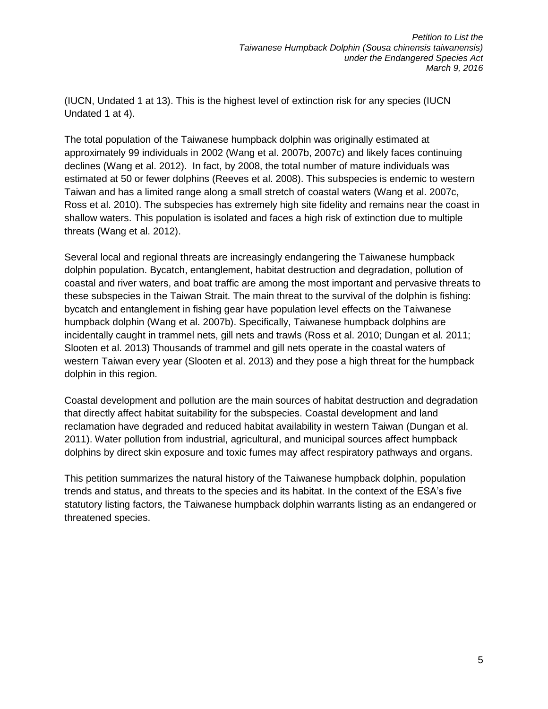(IUCN, Undated 1 at 13). This is the highest level of extinction risk for any species (IUCN Undated 1 at 4).

The total population of the Taiwanese humpback dolphin was originally estimated at approximately 99 individuals in 2002 (Wang et al. 2007b, 2007c) and likely faces continuing declines (Wang et al. 2012). In fact, by 2008, the total number of mature individuals was estimated at 50 or fewer dolphins (Reeves et al. 2008). This subspecies is endemic to western Taiwan and has a limited range along a small stretch of coastal waters (Wang et al. 2007c, Ross et al. 2010). The subspecies has extremely high site fidelity and remains near the coast in shallow waters. This population is isolated and faces a high risk of extinction due to multiple threats (Wang et al. 2012).

Several local and regional threats are increasingly endangering the Taiwanese humpback dolphin population. Bycatch, entanglement, habitat destruction and degradation, pollution of coastal and river waters, and boat traffic are among the most important and pervasive threats to these subspecies in the Taiwan Strait. The main threat to the survival of the dolphin is fishing: bycatch and entanglement in fishing gear have population level effects on the Taiwanese humpback dolphin (Wang et al. 2007b). Specifically, Taiwanese humpback dolphins are incidentally caught in trammel nets, gill nets and trawls (Ross et al. 2010; Dungan et al. 2011; Slooten et al. 2013) Thousands of trammel and gill nets operate in the coastal waters of western Taiwan every year (Slooten et al. 2013) and they pose a high threat for the humpback dolphin in this region.

Coastal development and pollution are the main sources of habitat destruction and degradation that directly affect habitat suitability for the subspecies. Coastal development and land reclamation have degraded and reduced habitat availability in western Taiwan (Dungan et al. 2011). Water pollution from industrial, agricultural, and municipal sources affect humpback dolphins by direct skin exposure and toxic fumes may affect respiratory pathways and organs.

This petition summarizes the natural history of the Taiwanese humpback dolphin, population trends and status, and threats to the species and its habitat. In the context of the ESA's five statutory listing factors, the Taiwanese humpback dolphin warrants listing as an endangered or threatened species.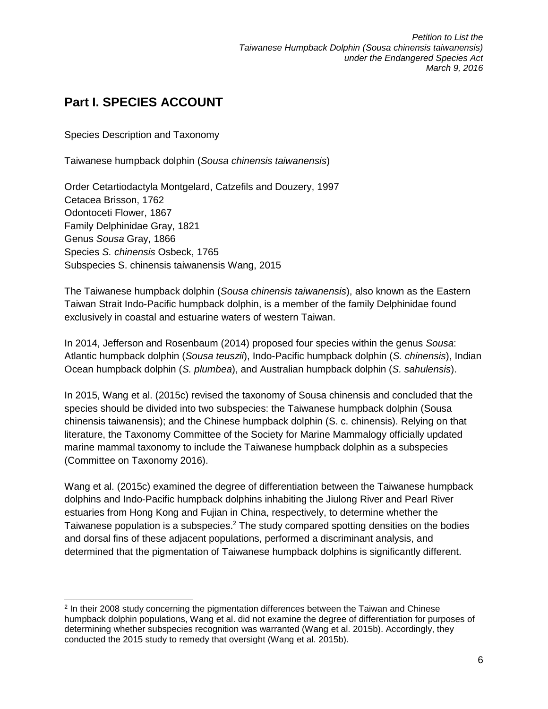# <span id="page-7-0"></span>**Part I. SPECIES ACCOUNT**

Species Description and Taxonomy

Taiwanese humpback dolphin (*Sousa chinensis taiwanensis*)

Order Cetartiodactyla Montgelard, Catzefils and Douzery, 1997 Cetacea Brisson, 1762 Odontoceti Flower, 1867 Family Delphinidae Gray, 1821 Genus *Sousa* Gray, 1866 Species *S. chinensis* Osbeck, 1765 Subspecies S. chinensis taiwanensis Wang, 2015

The Taiwanese humpback dolphin (*Sousa chinensis taiwanensis*), also known as the Eastern Taiwan Strait Indo-Pacific humpback dolphin, is a member of the family Delphinidae found exclusively in coastal and estuarine waters of western Taiwan.

In 2014, Jefferson and Rosenbaum (2014) proposed four species within the genus *Sousa*: Atlantic humpback dolphin (*Sousa teuszii*), Indo-Pacific humpback dolphin (*S. chinensis*), Indian Ocean humpback dolphin (*S. plumbea*), and Australian humpback dolphin (*S. sahulensis*).

In 2015, Wang et al. (2015c) revised the taxonomy of Sousa chinensis and concluded that the species should be divided into two subspecies: the Taiwanese humpback dolphin (Sousa chinensis taiwanensis); and the Chinese humpback dolphin (S. c. chinensis). Relying on that literature, the Taxonomy Committee of the Society for Marine Mammalogy officially updated marine mammal taxonomy to include the Taiwanese humpback dolphin as a subspecies (Committee on Taxonomy 2016).

Wang et al. (2015c) examined the degree of differentiation between the Taiwanese humpback dolphins and Indo-Pacific humpback dolphins inhabiting the Jiulong River and Pearl River estuaries from Hong Kong and Fujian in China, respectively, to determine whether the Taiwanese population is a subspecies.<sup>2</sup> The study compared spotting densities on the bodies and dorsal fins of these adjacent populations, performed a discriminant analysis, and determined that the pigmentation of Taiwanese humpback dolphins is significantly different.

 2 In their 2008 study concerning the pigmentation differences between the Taiwan and Chinese humpback dolphin populations, Wang et al. did not examine the degree of differentiation for purposes of determining whether subspecies recognition was warranted (Wang et al. 2015b). Accordingly, they conducted the 2015 study to remedy that oversight (Wang et al. 2015b).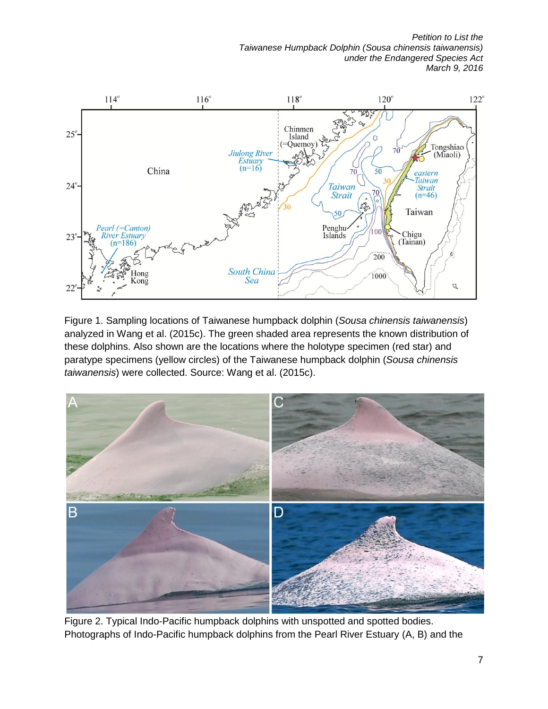*Petition to List the Taiwanese Humpback Dolphin (Sousa chinensis taiwanensis) under the Endangered Species Act March 9, 2016*



Figure 1. Sampling locations of Taiwanese humpback dolphin (*Sousa chinensis taiwanensis*) analyzed in Wang et al. (2015c). The green shaded area represents the known distribution of these dolphins. Also shown are the locations where the holotype specimen (red star) and paratype specimens (yellow circles) of the Taiwanese humpback dolphin (*Sousa chinensis taiwanensis*) were collected. Source: Wang et al. (2015c).



Figure 2. Typical Indo-Pacific humpback dolphins with unspotted and spotted bodies. Photographs of Indo-Pacific humpback dolphins from the Pearl River Estuary (A, B) and the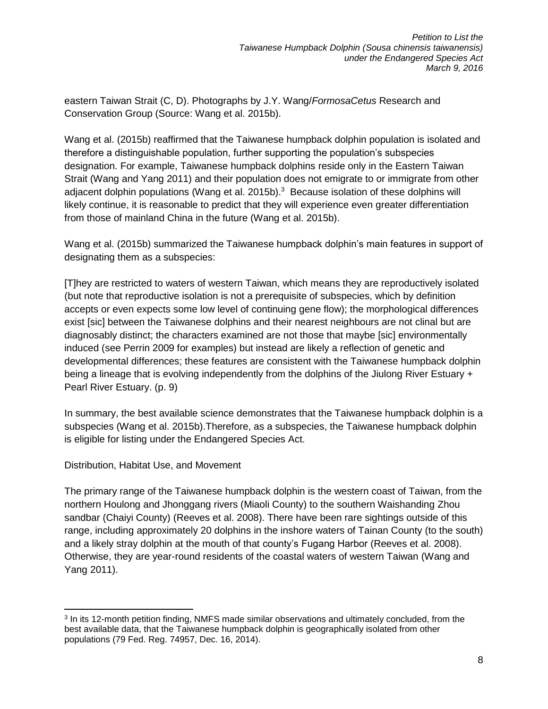eastern Taiwan Strait (C, D). Photographs by J.Y. Wang/*FormosaCetus* Research and Conservation Group (Source: Wang et al. 2015b).

Wang et al. (2015b) reaffirmed that the Taiwanese humpback dolphin population is isolated and therefore a distinguishable population, further supporting the population's subspecies designation. For example, Taiwanese humpback dolphins reside only in the Eastern Taiwan Strait (Wang and Yang 2011) and their population does not emigrate to or immigrate from other adjacent dolphin populations (Wang et al. 2015b). $3$  Because isolation of these dolphins will likely continue, it is reasonable to predict that they will experience even greater differentiation from those of mainland China in the future (Wang et al. 2015b).

Wang et al. (2015b) summarized the Taiwanese humpback dolphin's main features in support of designating them as a subspecies:

[T]hey are restricted to waters of western Taiwan, which means they are reproductively isolated (but note that reproductive isolation is not a prerequisite of subspecies, which by definition accepts or even expects some low level of continuing gene flow); the morphological differences exist [sic] between the Taiwanese dolphins and their nearest neighbours are not clinal but are diagnosably distinct; the characters examined are not those that maybe [sic] environmentally induced (see Perrin 2009 for examples) but instead are likely a reflection of genetic and developmental differences; these features are consistent with the Taiwanese humpback dolphin being a lineage that is evolving independently from the dolphins of the Jiulong River Estuary + Pearl River Estuary. (p. 9)

In summary, the best available science demonstrates that the Taiwanese humpback dolphin is a subspecies (Wang et al. 2015b).Therefore, as a subspecies, the Taiwanese humpback dolphin is eligible for listing under the Endangered Species Act.

Distribution, Habitat Use, and Movement

 $\overline{a}$ 

The primary range of the Taiwanese humpback dolphin is the western coast of Taiwan, from the northern Houlong and Jhonggang rivers (Miaoli County) to the southern Waishanding Zhou sandbar (Chaiyi County) (Reeves et al. 2008). There have been rare sightings outside of this range, including approximately 20 dolphins in the inshore waters of Tainan County (to the south) and a likely stray dolphin at the mouth of that county's Fugang Harbor (Reeves et al. 2008). Otherwise, they are year-round residents of the coastal waters of western Taiwan (Wang and Yang 2011).

<sup>&</sup>lt;sup>3</sup> In its 12-month petition finding, NMFS made similar observations and ultimately concluded, from the best available data, that the Taiwanese humpback dolphin is geographically isolated from other populations (79 Fed. Reg. 74957, Dec. 16, 2014).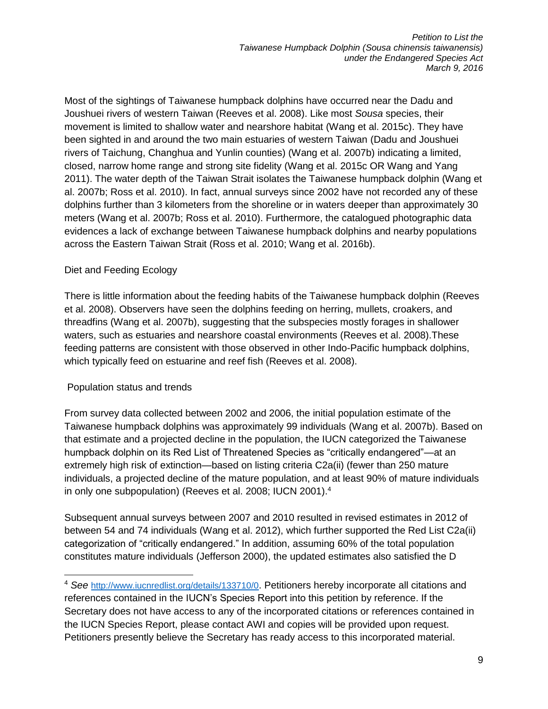Most of the sightings of Taiwanese humpback dolphins have occurred near the Dadu and Joushuei rivers of western Taiwan (Reeves et al. 2008). Like most *Sousa* species, their movement is limited to shallow water and nearshore habitat (Wang et al. 2015c). They have been sighted in and around the two main estuaries of western Taiwan (Dadu and Joushuei rivers of Taichung, Changhua and Yunlin counties) (Wang et al. 2007b) indicating a limited, closed, narrow home range and strong site fidelity (Wang et al. 2015c OR Wang and Yang 2011). The water depth of the Taiwan Strait isolates the Taiwanese humpback dolphin (Wang et al. 2007b; Ross et al. 2010). In fact, annual surveys since 2002 have not recorded any of these dolphins further than 3 kilometers from the shoreline or in waters deeper than approximately 30 meters (Wang et al. 2007b; Ross et al. 2010). Furthermore, the catalogued photographic data evidences a lack of exchange between Taiwanese humpback dolphins and nearby populations across the Eastern Taiwan Strait (Ross et al. 2010; Wang et al. 2016b).

#### Diet and Feeding Ecology

There is little information about the feeding habits of the Taiwanese humpback dolphin (Reeves et al. 2008). Observers have seen the dolphins feeding on herring, mullets, croakers, and threadfins (Wang et al. 2007b), suggesting that the subspecies mostly forages in shallower waters, such as estuaries and nearshore coastal environments (Reeves et al. 2008).These feeding patterns are consistent with those observed in other Indo-Pacific humpback dolphins, which typically feed on estuarine and reef fish (Reeves et al. 2008).

#### Population status and trends

 $\overline{a}$ 

From survey data collected between 2002 and 2006, the initial population estimate of the Taiwanese humpback dolphins was approximately 99 individuals (Wang et al. 2007b). Based on that estimate and a projected decline in the population, the IUCN categorized the Taiwanese humpback dolphin on its Red List of Threatened Species as "critically endangered"—at an extremely high risk of extinction—based on listing criteria C2a(ii) (fewer than 250 mature individuals, a projected decline of the mature population, and at least 90% of mature individuals in only one subpopulation) (Reeves et al. 2008; IUCN 2001).<sup>4</sup>

Subsequent annual surveys between 2007 and 2010 resulted in revised estimates in 2012 of between 54 and 74 individuals (Wang et al. 2012), which further supported the Red List C2a(ii) categorization of "critically endangered." In addition, assuming 60% of the total population constitutes mature individuals (Jefferson 2000), the updated estimates also satisfied the D

<sup>4</sup> *See* <http://www.iucnredlist.org/details/133710/0>. Petitioners hereby incorporate all citations and references contained in the IUCN's Species Report into this petition by reference. If the Secretary does not have access to any of the incorporated citations or references contained in the IUCN Species Report, please contact AWI and copies will be provided upon request. Petitioners presently believe the Secretary has ready access to this incorporated material.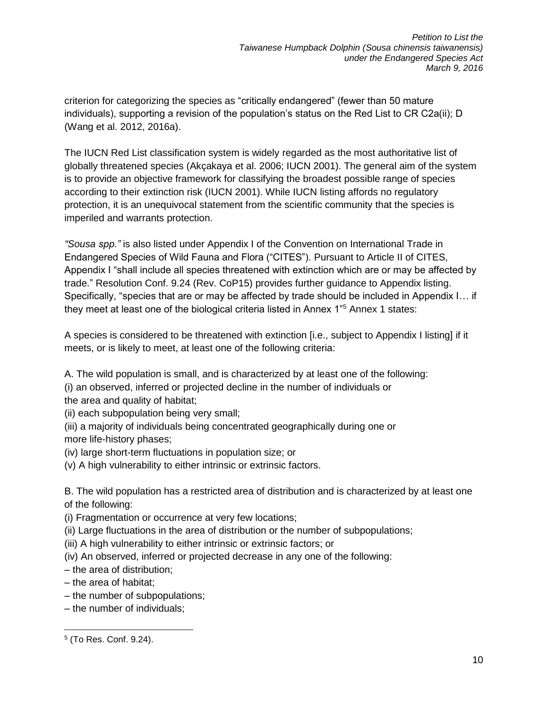criterion for categorizing the species as "critically endangered" (fewer than 50 mature individuals), supporting a revision of the population's status on the Red List to CR C2a(ii); D (Wang et al. 2012, 2016a).

The IUCN Red List classification system is widely regarded as the most authoritative list of globally threatened species (Akçakaya et al. 2006; IUCN 2001). The general aim of the system is to provide an objective framework for classifying the broadest possible range of species according to their extinction risk (IUCN 2001). While IUCN listing affords no regulatory protection, it is an unequivocal statement from the scientific community that the species is imperiled and warrants protection.

*"Sousa spp."* is also listed under Appendix I of the Convention on International Trade in Endangered Species of Wild Fauna and Flora ("CITES"). Pursuant to Article II of CITES, Appendix I "shall include all species threatened with extinction which are or may be affected by trade." Resolution Conf. 9.24 (Rev. CoP15) provides further guidance to Appendix listing. Specifically, "species that are or may be affected by trade should be included in Appendix I… if they meet at least one of the biological criteria listed in Annex 1"<sup>5</sup> Annex 1 states:

A species is considered to be threatened with extinction [i.e., subject to Appendix I listing] if it meets, or is likely to meet, at least one of the following criteria:

A. The wild population is small, and is characterized by at least one of the following:

- (i) an observed, inferred or projected decline in the number of individuals or the area and quality of habitat;
- (ii) each subpopulation being very small;
- (iii) a majority of individuals being concentrated geographically during one or more life-history phases;
- (iv) large short-term fluctuations in population size; or
- (v) A high vulnerability to either intrinsic or extrinsic factors.

B. The wild population has a restricted area of distribution and is characterized by at least one of the following:

- (i) Fragmentation or occurrence at very few locations;
- (ii) Large fluctuations in the area of distribution or the number of subpopulations;
- (iii) A high vulnerability to either intrinsic or extrinsic factors; or
- (iv) An observed, inferred or projected decrease in any one of the following:
- the area of distribution;
- the area of habitat;
- the number of subpopulations;
- the number of individuals;

 5 (To Res. Conf. 9.24).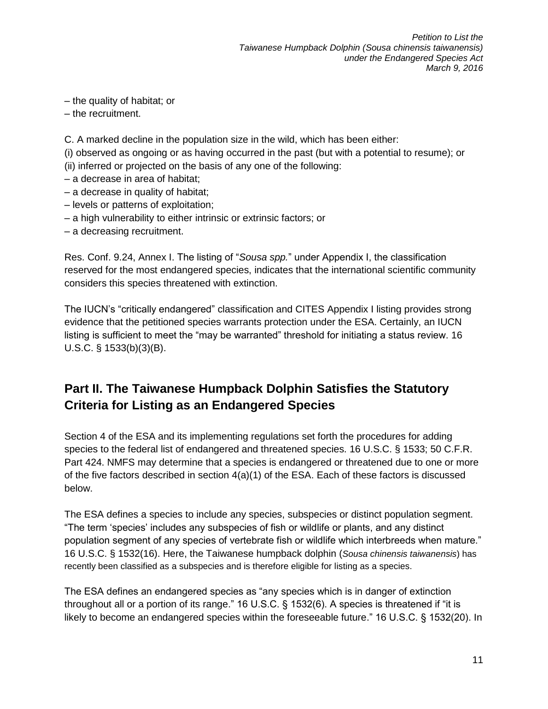– the quality of habitat; or

– the recruitment.

C. A marked decline in the population size in the wild, which has been either:

(i) observed as ongoing or as having occurred in the past (but with a potential to resume); or

- (ii) inferred or projected on the basis of any one of the following:
- a decrease in area of habitat;
- a decrease in quality of habitat;
- levels or patterns of exploitation;
- a high vulnerability to either intrinsic or extrinsic factors; or
- a decreasing recruitment.

Res. Conf. 9.24, Annex I. The listing of "*Sousa spp.*" under Appendix I, the classification reserved for the most endangered species, indicates that the international scientific community considers this species threatened with extinction.

The IUCN's "critically endangered" classification and CITES Appendix I listing provides strong evidence that the petitioned species warrants protection under the ESA. Certainly, an IUCN listing is sufficient to meet the "may be warranted" threshold for initiating a status review. 16 U.S.C. § 1533(b)(3)(B).

## <span id="page-12-0"></span>**Part II. The Taiwanese Humpback Dolphin Satisfies the Statutory Criteria for Listing as an Endangered Species**

Section 4 of the ESA and its implementing regulations set forth the procedures for adding species to the federal list of endangered and threatened species. 16 U.S.C. § 1533; 50 C.F.R. Part 424. NMFS may determine that a species is endangered or threatened due to one or more of the five factors described in section  $4(a)(1)$  of the ESA. Each of these factors is discussed below.

The ESA defines a species to include any species, subspecies or distinct population segment. "The term 'species' includes any subspecies of fish or wildlife or plants, and any distinct population segment of any species of vertebrate fish or wildlife which interbreeds when mature." 16 U.S.C. § 1532(16). Here, the Taiwanese humpback dolphin (*Sousa chinensis taiwanensis*) has recently been classified as a subspecies and is therefore eligible for listing as a species.

The ESA defines an endangered species as "any species which is in danger of extinction throughout all or a portion of its range." 16 U.S.C. § 1532(6). A species is threatened if "it is likely to become an endangered species within the foreseeable future." 16 U.S.C. § 1532(20). In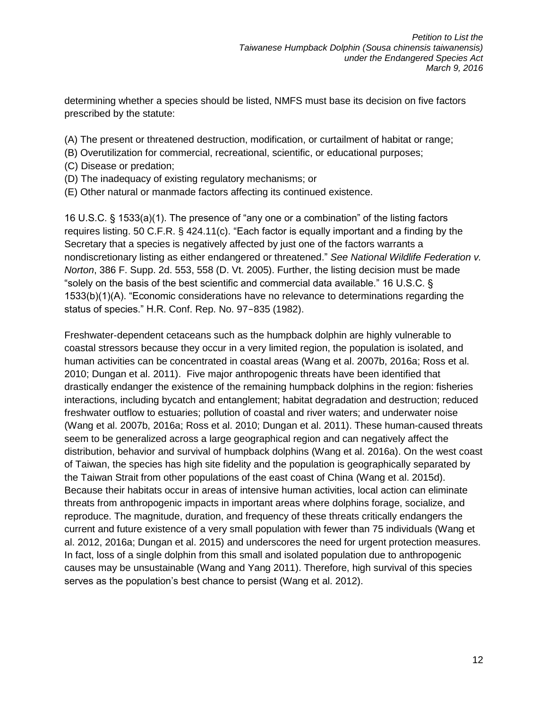determining whether a species should be listed, NMFS must base its decision on five factors prescribed by the statute:

- (A) The present or threatened destruction, modification, or curtailment of habitat or range;
- (B) Overutilization for commercial, recreational, scientific, or educational purposes;
- (C) Disease or predation;
- (D) The inadequacy of existing regulatory mechanisms; or
- (E) Other natural or manmade factors affecting its continued existence.

16 U.S.C. § 1533(a)(1). The presence of "any one or a combination" of the listing factors requires listing. 50 C.F.R. § 424.11(c). "Each factor is equally important and a finding by the Secretary that a species is negatively affected by just one of the factors warrants a nondiscretionary listing as either endangered or threatened." *See National Wildlife Federation v. Norton*, 386 F. Supp. 2d. 553, 558 (D. Vt. 2005). Further, the listing decision must be made "solely on the basis of the best scientific and commercial data available." 16 U.S.C. § 1533(b)(1)(A). "Economic considerations have no relevance to determinations regarding the status of species." H.R. Conf. Rep. No. 97-835 (1982).

Freshwater-dependent cetaceans such as the humpback dolphin are highly vulnerable to coastal stressors because they occur in a very limited region, the population is isolated, and human activities can be concentrated in coastal areas (Wang et al. 2007b, 2016a; Ross et al. 2010; Dungan et al. 2011). Five major anthropogenic threats have been identified that drastically endanger the existence of the remaining humpback dolphins in the region: fisheries interactions, including bycatch and entanglement; habitat degradation and destruction; reduced freshwater outflow to estuaries; pollution of coastal and river waters; and underwater noise (Wang et al. 2007b, 2016a; Ross et al. 2010; Dungan et al. 2011). These human-caused threats seem to be generalized across a large geographical region and can negatively affect the distribution, behavior and survival of humpback dolphins (Wang et al. 2016a). On the west coast of Taiwan, the species has high site fidelity and the population is geographically separated by the Taiwan Strait from other populations of the east coast of China (Wang et al. 2015d). Because their habitats occur in areas of intensive human activities, local action can eliminate threats from anthropogenic impacts in important areas where dolphins forage, socialize, and reproduce. The magnitude, duration, and frequency of these threats critically endangers the current and future existence of a very small population with fewer than 75 individuals (Wang et al. 2012, 2016a; Dungan et al. 2015) and underscores the need for urgent protection measures. In fact, loss of a single dolphin from this small and isolated population due to anthropogenic causes may be unsustainable (Wang and Yang 2011). Therefore, high survival of this species serves as the population's best chance to persist (Wang et al. 2012).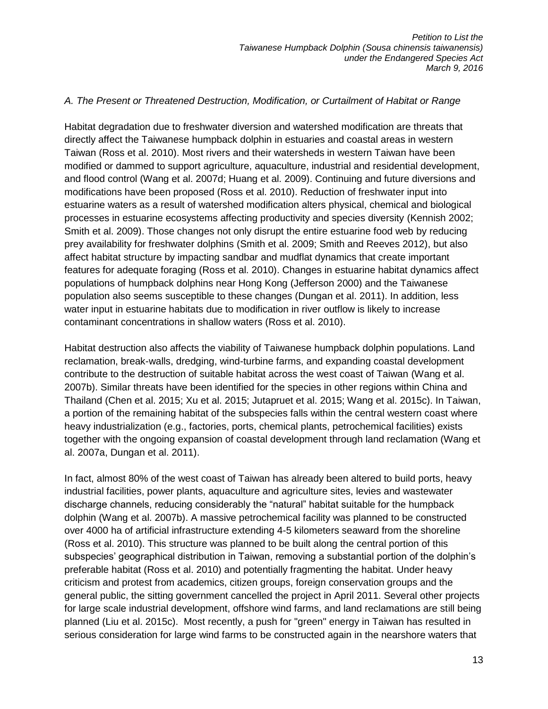#### <span id="page-14-0"></span>*A. The Present or Threatened Destruction, Modification, or Curtailment of Habitat or Range*

Habitat degradation due to freshwater diversion and watershed modification are threats that directly affect the Taiwanese humpback dolphin in estuaries and coastal areas in western Taiwan (Ross et al. 2010). Most rivers and their watersheds in western Taiwan have been modified or dammed to support agriculture, aquaculture, industrial and residential development, and flood control (Wang et al. 2007d; Huang et al. 2009). Continuing and future diversions and modifications have been proposed (Ross et al. 2010). Reduction of freshwater input into estuarine waters as a result of watershed modification alters physical, chemical and biological processes in estuarine ecosystems affecting productivity and species diversity (Kennish 2002; Smith et al. 2009). Those changes not only disrupt the entire estuarine food web by reducing prey availability for freshwater dolphins (Smith et al. 2009; Smith and Reeves 2012), but also affect habitat structure by impacting sandbar and mudflat dynamics that create important features for adequate foraging (Ross et al. 2010). Changes in estuarine habitat dynamics affect populations of humpback dolphins near Hong Kong (Jefferson 2000) and the Taiwanese population also seems susceptible to these changes (Dungan et al. 2011). In addition, less water input in estuarine habitats due to modification in river outflow is likely to increase contaminant concentrations in shallow waters (Ross et al. 2010).

Habitat destruction also affects the viability of Taiwanese humpback dolphin populations. Land reclamation, break-walls, dredging, wind-turbine farms, and expanding coastal development contribute to the destruction of suitable habitat across the west coast of Taiwan (Wang et al. 2007b). Similar threats have been identified for the species in other regions within China and Thailand (Chen et al. 2015; Xu et al. 2015; Jutapruet et al. 2015; Wang et al. 2015c). In Taiwan, a portion of the remaining habitat of the subspecies falls within the central western coast where heavy industrialization (e.g., factories, ports, chemical plants, petrochemical facilities) exists together with the ongoing expansion of coastal development through land reclamation (Wang et al. 2007a, Dungan et al. 2011).

In fact, almost 80% of the west coast of Taiwan has already been altered to build ports, heavy industrial facilities, power plants, aquaculture and agriculture sites, levies and wastewater discharge channels, reducing considerably the "natural" habitat suitable for the humpback dolphin (Wang et al. 2007b). A massive petrochemical facility was planned to be constructed over 4000 ha of artificial infrastructure extending 4-5 kilometers seaward from the shoreline (Ross et al. 2010). This structure was planned to be built along the central portion of this subspecies' geographical distribution in Taiwan, removing a substantial portion of the dolphin's preferable habitat (Ross et al. 2010) and potentially fragmenting the habitat. Under heavy criticism and protest from academics, citizen groups, foreign conservation groups and the general public, the sitting government cancelled the project in April 2011. Several other projects for large scale industrial development, offshore wind farms, and land reclamations are still being planned (Liu et al. 2015c). Most recently, a push for "green" energy in Taiwan has resulted in serious consideration for large wind farms to be constructed again in the nearshore waters that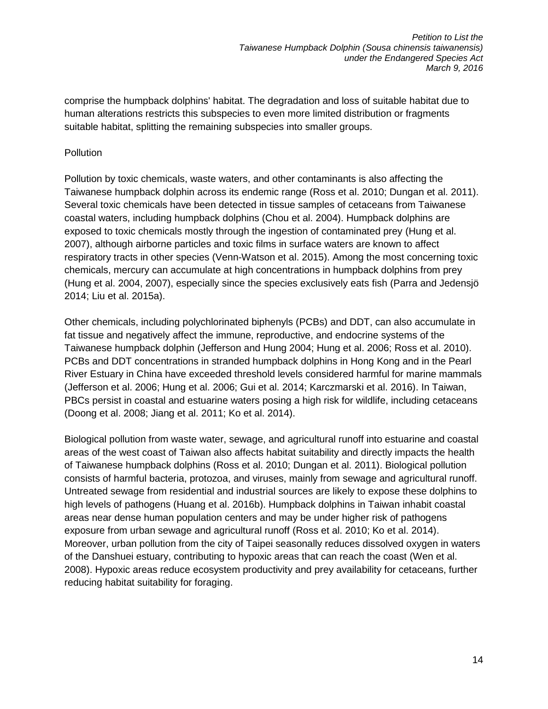comprise the humpback dolphins' habitat. The degradation and loss of suitable habitat due to human alterations restricts this subspecies to even more limited distribution or fragments suitable habitat, splitting the remaining subspecies into smaller groups.

#### Pollution

Pollution by toxic chemicals, waste waters, and other contaminants is also affecting the Taiwanese humpback dolphin across its endemic range (Ross et al. 2010; Dungan et al. 2011). Several toxic chemicals have been detected in tissue samples of cetaceans from Taiwanese coastal waters, including humpback dolphins (Chou et al. 2004). Humpback dolphins are exposed to toxic chemicals mostly through the ingestion of contaminated prey (Hung et al. 2007), although airborne particles and toxic films in surface waters are known to affect respiratory tracts in other species (Venn-Watson et al. 2015). Among the most concerning toxic chemicals, mercury can accumulate at high concentrations in humpback dolphins from prey (Hung et al. 2004, 2007), especially since the species exclusively eats fish (Parra and Jedensjö 2014; Liu et al. 2015a).

Other chemicals, including polychlorinated biphenyls (PCBs) and DDT, can also accumulate in fat tissue and negatively affect the immune, reproductive, and endocrine systems of the Taiwanese humpback dolphin (Jefferson and Hung 2004; Hung et al. 2006; Ross et al. 2010). PCBs and DDT concentrations in stranded humpback dolphins in Hong Kong and in the Pearl River Estuary in China have exceeded threshold levels considered harmful for marine mammals (Jefferson et al. 2006; Hung et al. 2006; Gui et al. 2014; Karczmarski et al. 2016). In Taiwan, PBCs persist in coastal and estuarine waters posing a high risk for wildlife, including cetaceans (Doong et al. 2008; Jiang et al. 2011; Ko et al. 2014).

Biological pollution from waste water, sewage, and agricultural runoff into estuarine and coastal areas of the west coast of Taiwan also affects habitat suitability and directly impacts the health of Taiwanese humpback dolphins (Ross et al. 2010; Dungan et al. 2011). Biological pollution consists of harmful bacteria, protozoa, and viruses, mainly from sewage and agricultural runoff. Untreated sewage from residential and industrial sources are likely to expose these dolphins to high levels of pathogens (Huang et al. 2016b). Humpback dolphins in Taiwan inhabit coastal areas near dense human population centers and may be under higher risk of pathogens exposure from urban sewage and agricultural runoff (Ross et al. 2010; Ko et al. 2014). Moreover, urban pollution from the city of Taipei seasonally reduces dissolved oxygen in waters of the Danshuei estuary, contributing to hypoxic areas that can reach the coast (Wen et al. 2008). Hypoxic areas reduce ecosystem productivity and prey availability for cetaceans, further reducing habitat suitability for foraging.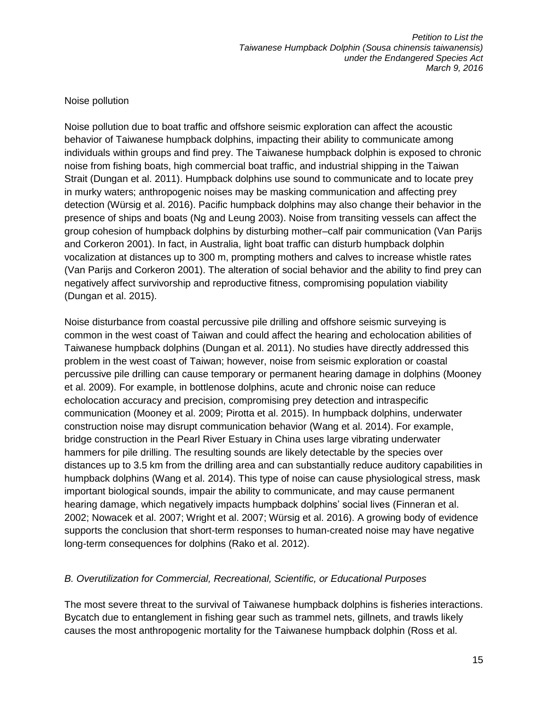#### Noise pollution

Noise pollution due to boat traffic and offshore seismic exploration can affect the acoustic behavior of Taiwanese humpback dolphins, impacting their ability to communicate among individuals within groups and find prey. The Taiwanese humpback dolphin is exposed to chronic noise from fishing boats, high commercial boat traffic, and industrial shipping in the Taiwan Strait (Dungan et al. 2011). Humpback dolphins use sound to communicate and to locate prey in murky waters; anthropogenic noises may be masking communication and affecting prey detection (Würsig et al. 2016). Pacific humpback dolphins may also change their behavior in the presence of ships and boats (Ng and Leung 2003). Noise from transiting vessels can affect the group cohesion of humpback dolphins by disturbing mother–calf pair communication (Van Parijs and Corkeron 2001). In fact, in Australia, light boat traffic can disturb humpback dolphin vocalization at distances up to 300 m, prompting mothers and calves to increase whistle rates (Van Parijs and Corkeron 2001). The alteration of social behavior and the ability to find prey can negatively affect survivorship and reproductive fitness, compromising population viability (Dungan et al. 2015).

Noise disturbance from coastal percussive pile drilling and offshore seismic surveying is common in the west coast of Taiwan and could affect the hearing and echolocation abilities of Taiwanese humpback dolphins (Dungan et al. 2011). No studies have directly addressed this problem in the west coast of Taiwan; however, noise from seismic exploration or coastal percussive pile drilling can cause temporary or permanent hearing damage in dolphins (Mooney et al. 2009). For example, in bottlenose dolphins, acute and chronic noise can reduce echolocation accuracy and precision, compromising prey detection and intraspecific communication (Mooney et al. 2009; Pirotta et al. 2015). In humpback dolphins, underwater construction noise may disrupt communication behavior (Wang et al. 2014). For example, bridge construction in the Pearl River Estuary in China uses large vibrating underwater hammers for pile drilling. The resulting sounds are likely detectable by the species over distances up to 3.5 km from the drilling area and can substantially reduce auditory capabilities in humpback dolphins (Wang et al. 2014). This type of noise can cause physiological stress, mask important biological sounds, impair the ability to communicate, and may cause permanent hearing damage, which negatively impacts humpback dolphins' social lives (Finneran et al. 2002; Nowacek et al. 2007; Wright et al. 2007; Würsig et al. 2016). A growing body of evidence supports the conclusion that short-term responses to human-created noise may have negative long-term consequences for dolphins (Rako et al. 2012).

#### <span id="page-16-0"></span>*B. Overutilization for Commercial, Recreational, Scientific, or Educational Purposes*

The most severe threat to the survival of Taiwanese humpback dolphins is fisheries interactions. Bycatch due to entanglement in fishing gear such as trammel nets, gillnets, and trawls likely causes the most anthropogenic mortality for the Taiwanese humpback dolphin (Ross et al.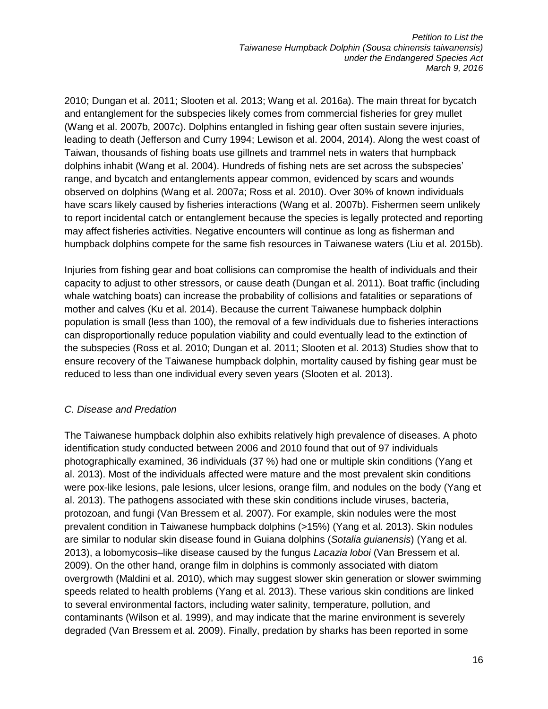2010; Dungan et al. 2011; Slooten et al. 2013; Wang et al. 2016a). The main threat for bycatch and entanglement for the subspecies likely comes from commercial fisheries for grey mullet (Wang et al. 2007b, 2007c). Dolphins entangled in fishing gear often sustain severe injuries, leading to death (Jefferson and Curry 1994; Lewison et al. 2004, 2014). Along the west coast of Taiwan, thousands of fishing boats use gillnets and trammel nets in waters that humpback dolphins inhabit (Wang et al. 2004). Hundreds of fishing nets are set across the subspecies' range, and bycatch and entanglements appear common, evidenced by scars and wounds observed on dolphins (Wang et al. 2007a; Ross et al. 2010). Over 30% of known individuals have scars likely caused by fisheries interactions (Wang et al. 2007b). Fishermen seem unlikely to report incidental catch or entanglement because the species is legally protected and reporting may affect fisheries activities. Negative encounters will continue as long as fisherman and humpback dolphins compete for the same fish resources in Taiwanese waters (Liu et al. 2015b).

Injuries from fishing gear and boat collisions can compromise the health of individuals and their capacity to adjust to other stressors, or cause death (Dungan et al. 2011). Boat traffic (including whale watching boats) can increase the probability of collisions and fatalities or separations of mother and calves (Ku et al. 2014). Because the current Taiwanese humpback dolphin population is small (less than 100), the removal of a few individuals due to fisheries interactions can disproportionally reduce population viability and could eventually lead to the extinction of the subspecies (Ross et al. 2010; Dungan et al. 2011; Slooten et al. 2013) Studies show that to ensure recovery of the Taiwanese humpback dolphin, mortality caused by fishing gear must be reduced to less than one individual every seven years (Slooten et al. 2013).

### <span id="page-17-0"></span>*C. Disease and Predation*

The Taiwanese humpback dolphin also exhibits relatively high prevalence of diseases. A photo identification study conducted between 2006 and 2010 found that out of 97 individuals photographically examined, 36 individuals (37 %) had one or multiple skin conditions (Yang et al. 2013). Most of the individuals affected were mature and the most prevalent skin conditions were pox-like lesions, pale lesions, ulcer lesions, orange film, and nodules on the body (Yang et al. 2013). The pathogens associated with these skin conditions include viruses, bacteria, protozoan, and fungi (Van Bressem et al. 2007). For example, skin nodules were the most prevalent condition in Taiwanese humpback dolphins (>15%) (Yang et al. 2013). Skin nodules are similar to nodular skin disease found in Guiana dolphins (*Sotalia guianensis*) (Yang et al. 2013), a lobomycosis–like disease caused by the fungus *Lacazia loboi* (Van Bressem et al. 2009). On the other hand, orange film in dolphins is commonly associated with diatom overgrowth (Maldini et al. 2010), which may suggest slower skin generation or slower swimming speeds related to health problems (Yang et al. 2013). These various skin conditions are linked to several environmental factors, including water salinity, temperature, pollution, and contaminants (Wilson et al. 1999), and may indicate that the marine environment is severely degraded (Van Bressem et al. 2009). Finally, predation by sharks has been reported in some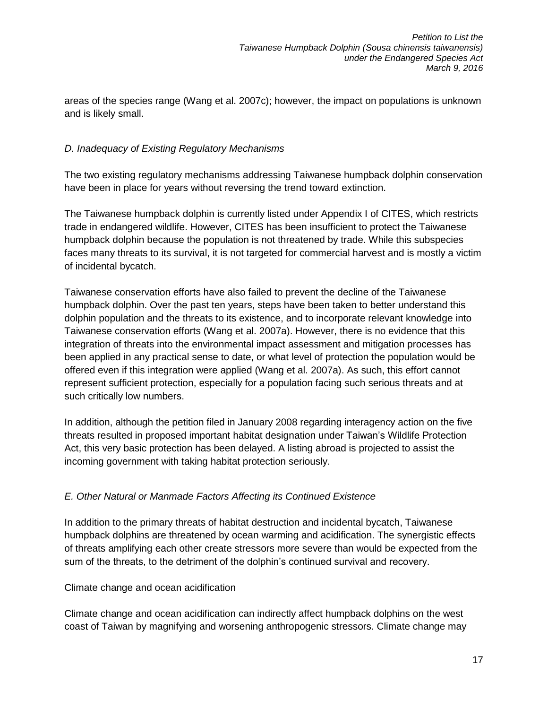areas of the species range (Wang et al. 2007c); however, the impact on populations is unknown and is likely small.

### <span id="page-18-0"></span>*D. Inadequacy of Existing Regulatory Mechanisms*

The two existing regulatory mechanisms addressing Taiwanese humpback dolphin conservation have been in place for years without reversing the trend toward extinction.

The Taiwanese humpback dolphin is currently listed under Appendix I of CITES, which restricts trade in endangered wildlife. However, CITES has been insufficient to protect the Taiwanese humpback dolphin because the population is not threatened by trade. While this subspecies faces many threats to its survival, it is not targeted for commercial harvest and is mostly a victim of incidental bycatch.

Taiwanese conservation efforts have also failed to prevent the decline of the Taiwanese humpback dolphin. Over the past ten years, steps have been taken to better understand this dolphin population and the threats to its existence, and to incorporate relevant knowledge into Taiwanese conservation efforts (Wang et al. 2007a). However, there is no evidence that this integration of threats into the environmental impact assessment and mitigation processes has been applied in any practical sense to date, or what level of protection the population would be offered even if this integration were applied (Wang et al. 2007a). As such, this effort cannot represent sufficient protection, especially for a population facing such serious threats and at such critically low numbers.

In addition, although the petition filed in January 2008 regarding interagency action on the five threats resulted in proposed important habitat designation under Taiwan's Wildlife Protection Act, this very basic protection has been delayed. A listing abroad is projected to assist the incoming government with taking habitat protection seriously.

#### <span id="page-18-1"></span>*E. Other Natural or Manmade Factors Affecting its Continued Existence*

In addition to the primary threats of habitat destruction and incidental bycatch, Taiwanese humpback dolphins are threatened by ocean warming and acidification. The synergistic effects of threats amplifying each other create stressors more severe than would be expected from the sum of the threats, to the detriment of the dolphin's continued survival and recovery.

Climate change and ocean acidification

Climate change and ocean acidification can indirectly affect humpback dolphins on the west coast of Taiwan by magnifying and worsening anthropogenic stressors. Climate change may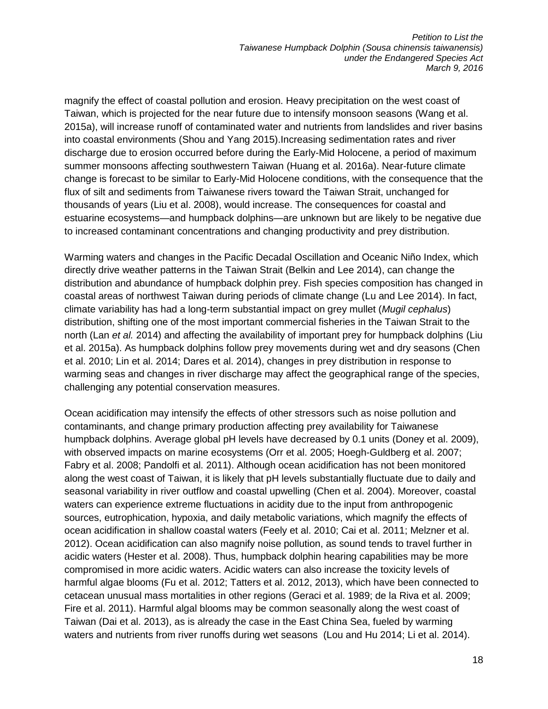magnify the effect of coastal pollution and erosion. Heavy precipitation on the west coast of Taiwan, which is projected for the near future due to intensify monsoon seasons (Wang et al. 2015a), will increase runoff of contaminated water and nutrients from landslides and river basins into coastal environments (Shou and Yang 2015).Increasing sedimentation rates and river discharge due to erosion occurred before during the Early-Mid Holocene, a period of maximum summer monsoons affecting southwestern Taiwan (Huang et al. 2016a). Near-future climate change is forecast to be similar to Early-Mid Holocene conditions, with the consequence that the flux of silt and sediments from Taiwanese rivers toward the Taiwan Strait, unchanged for thousands of years (Liu et al. 2008), would increase. The consequences for coastal and estuarine ecosystems—and humpback dolphins—are unknown but are likely to be negative due to increased contaminant concentrations and changing productivity and prey distribution.

Warming waters and changes in the Pacific Decadal Oscillation and Oceanic Niño Index, which directly drive weather patterns in the Taiwan Strait (Belkin and Lee 2014), can change the distribution and abundance of humpback dolphin prey. Fish species composition has changed in coastal areas of northwest Taiwan during periods of climate change (Lu and Lee 2014). In fact, climate variability has had a long-term substantial impact on grey mullet (*Mugil cephalus*) distribution, shifting one of the most important commercial fisheries in the Taiwan Strait to the north (Lan *et al.* 2014) and affecting the availability of important prey for humpback dolphins (Liu et al. 2015a). As humpback dolphins follow prey movements during wet and dry seasons (Chen et al. 2010; Lin et al. 2014; Dares et al. 2014), changes in prey distribution in response to warming seas and changes in river discharge may affect the geographical range of the species, challenging any potential conservation measures.

Ocean acidification may intensify the effects of other stressors such as noise pollution and contaminants, and change primary production affecting prey availability for Taiwanese humpback dolphins. Average global pH levels have decreased by 0.1 units (Doney et al. 2009), with observed impacts on marine ecosystems (Orr et al. 2005; Hoegh-Guldberg et al. 2007; Fabry et al. 2008; Pandolfi et al. 2011). Although ocean acidification has not been monitored along the west coast of Taiwan, it is likely that pH levels substantially fluctuate due to daily and seasonal variability in river outflow and coastal upwelling (Chen et al. 2004). Moreover, coastal waters can experience extreme fluctuations in acidity due to the input from anthropogenic sources, eutrophication, hypoxia, and daily metabolic variations, which magnify the effects of ocean acidification in shallow coastal waters (Feely et al. 2010; Cai et al. 2011; Melzner et al. 2012). Ocean acidification can also magnify noise pollution, as sound tends to travel further in acidic waters (Hester et al. 2008). Thus, humpback dolphin hearing capabilities may be more compromised in more acidic waters. Acidic waters can also increase the toxicity levels of harmful algae blooms (Fu et al. 2012; Tatters et al. 2012, 2013), which have been connected to cetacean unusual mass mortalities in other regions (Geraci et al. 1989; de la Riva et al. 2009; Fire et al. 2011). Harmful algal blooms may be common seasonally along the west coast of Taiwan (Dai et al. 2013), as is already the case in the East China Sea, fueled by warming waters and nutrients from river runoffs during wet seasons (Lou and Hu 2014; Li et al. 2014).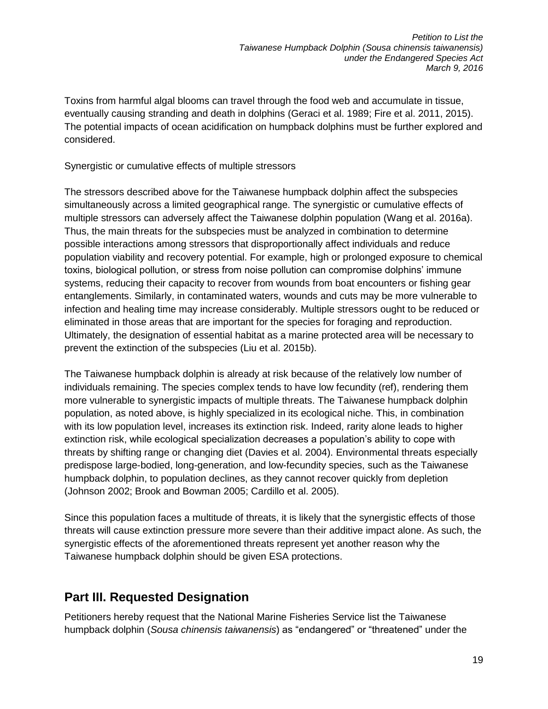Toxins from harmful algal blooms can travel through the food web and accumulate in tissue, eventually causing stranding and death in dolphins (Geraci et al. 1989; Fire et al. 2011, 2015). The potential impacts of ocean acidification on humpback dolphins must be further explored and considered.

#### Synergistic or cumulative effects of multiple stressors

The stressors described above for the Taiwanese humpback dolphin affect the subspecies simultaneously across a limited geographical range. The synergistic or cumulative effects of multiple stressors can adversely affect the Taiwanese dolphin population (Wang et al. 2016a). Thus, the main threats for the subspecies must be analyzed in combination to determine possible interactions among stressors that disproportionally affect individuals and reduce population viability and recovery potential. For example, high or prolonged exposure to chemical toxins, biological pollution, or stress from noise pollution can compromise dolphins' immune systems, reducing their capacity to recover from wounds from boat encounters or fishing gear entanglements. Similarly, in contaminated waters, wounds and cuts may be more vulnerable to infection and healing time may increase considerably. Multiple stressors ought to be reduced or eliminated in those areas that are important for the species for foraging and reproduction. Ultimately, the designation of essential habitat as a marine protected area will be necessary to prevent the extinction of the subspecies (Liu et al. 2015b).

The Taiwanese humpback dolphin is already at risk because of the relatively low number of individuals remaining. The species complex tends to have low fecundity (ref), rendering them more vulnerable to synergistic impacts of multiple threats. The Taiwanese humpback dolphin population, as noted above, is highly specialized in its ecological niche. This, in combination with its low population level, increases its extinction risk. Indeed, rarity alone leads to higher extinction risk, while ecological specialization decreases a population's ability to cope with threats by shifting range or changing diet (Davies et al. 2004). Environmental threats especially predispose large-bodied, long-generation, and low-fecundity species, such as the Taiwanese humpback dolphin, to population declines, as they cannot recover quickly from depletion (Johnson 2002; Brook and Bowman 2005; Cardillo et al. 2005).

Since this population faces a multitude of threats, it is likely that the synergistic effects of those threats will cause extinction pressure more severe than their additive impact alone. As such, the synergistic effects of the aforementioned threats represent yet another reason why the Taiwanese humpback dolphin should be given ESA protections.

## <span id="page-20-0"></span>**Part III. Requested Designation**

Petitioners hereby request that the National Marine Fisheries Service list the Taiwanese humpback dolphin (*Sousa chinensis taiwanensis*) as "endangered" or "threatened" under the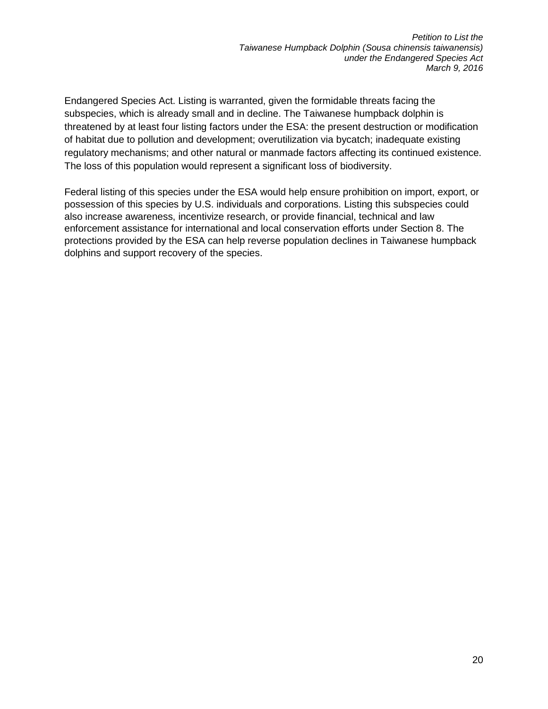Endangered Species Act. Listing is warranted, given the formidable threats facing the subspecies, which is already small and in decline. The Taiwanese humpback dolphin is threatened by at least four listing factors under the ESA: the present destruction or modification of habitat due to pollution and development; overutilization via bycatch; inadequate existing regulatory mechanisms; and other natural or manmade factors affecting its continued existence. The loss of this population would represent a significant loss of biodiversity.

Federal listing of this species under the ESA would help ensure prohibition on import, export, or possession of this species by U.S. individuals and corporations. Listing this subspecies could also increase awareness, incentivize research, or provide financial, technical and law enforcement assistance for international and local conservation efforts under Section 8. The protections provided by the ESA can help reverse population declines in Taiwanese humpback dolphins and support recovery of the species.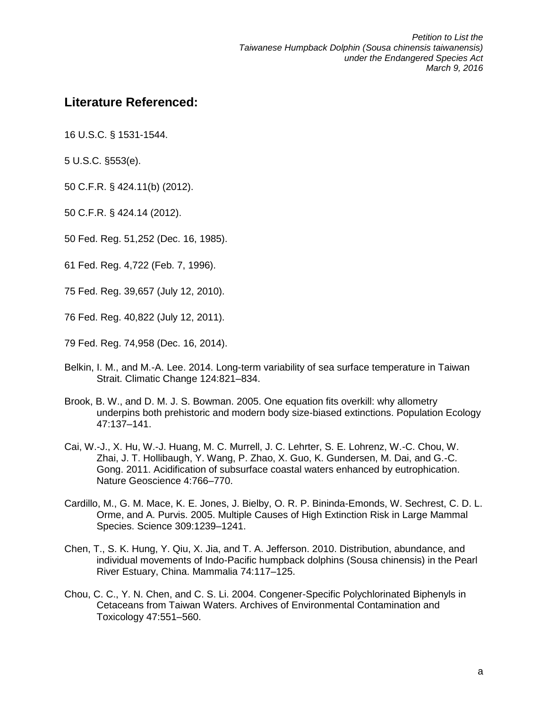## <span id="page-22-0"></span>**Literature Referenced:**

16 U.S.C. § 1531-1544.

5 U.S.C. §553(e).

50 C.F.R. § 424.11(b) (2012).

50 C.F.R. § 424.14 (2012).

50 Fed. Reg. 51,252 (Dec. 16, 1985).

61 Fed. Reg. 4,722 (Feb. 7, 1996).

75 Fed. Reg. 39,657 (July 12, 2010).

76 Fed. Reg. 40,822 (July 12, 2011).

79 Fed. Reg. 74,958 (Dec. 16, 2014).

- Belkin, I. M., and M.-A. Lee. 2014. Long-term variability of sea surface temperature in Taiwan Strait. Climatic Change 124:821–834.
- Brook, B. W., and D. M. J. S. Bowman. 2005. One equation fits overkill: why allometry underpins both prehistoric and modern body size-biased extinctions. Population Ecology 47:137–141.
- Cai, W.-J., X. Hu, W.-J. Huang, M. C. Murrell, J. C. Lehrter, S. E. Lohrenz, W.-C. Chou, W. Zhai, J. T. Hollibaugh, Y. Wang, P. Zhao, X. Guo, K. Gundersen, M. Dai, and G.-C. Gong. 2011. Acidification of subsurface coastal waters enhanced by eutrophication. Nature Geoscience 4:766–770.
- Cardillo, M., G. M. Mace, K. E. Jones, J. Bielby, O. R. P. Bininda-Emonds, W. Sechrest, C. D. L. Orme, and A. Purvis. 2005. Multiple Causes of High Extinction Risk in Large Mammal Species. Science 309:1239–1241.
- Chen, T., S. K. Hung, Y. Qiu, X. Jia, and T. A. Jefferson. 2010. Distribution, abundance, and individual movements of Indo-Pacific humpback dolphins (Sousa chinensis) in the Pearl River Estuary, China. Mammalia 74:117–125.
- Chou, C. C., Y. N. Chen, and C. S. Li. 2004. Congener-Specific Polychlorinated Biphenyls in Cetaceans from Taiwan Waters. Archives of Environmental Contamination and Toxicology 47:551–560.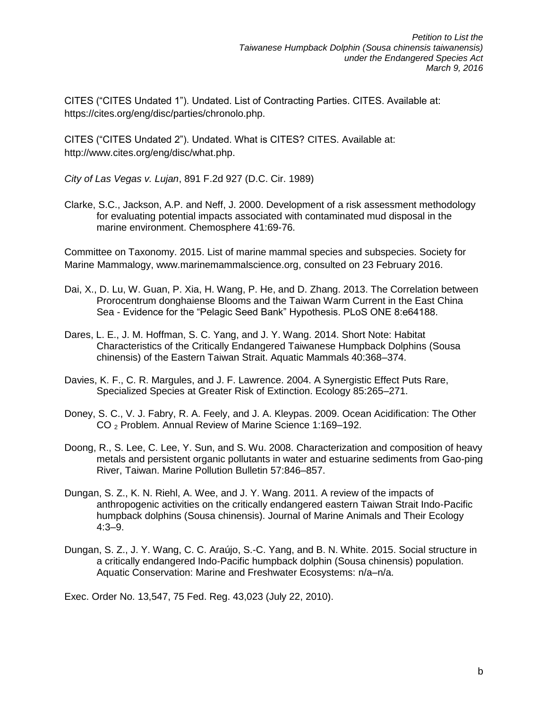CITES ("CITES Undated 1"). Undated. List of Contracting Parties. CITES. Available at: https://cites.org/eng/disc/parties/chronolo.php.

CITES ("CITES Undated 2"). Undated. What is CITES? CITES. Available at: http://www.cites.org/eng/disc/what.php.

*City of Las Vegas v. Lujan*, 891 F.2d 927 (D.C. Cir. 1989)

Clarke, S.C., Jackson, A.P. and Neff, J. 2000. Development of a risk assessment methodology for evaluating potential impacts associated with contaminated mud disposal in the marine environment. Chemosphere 41:69-76.

Committee on Taxonomy. 2015. List of marine mammal species and subspecies. Society for Marine Mammalogy, www.marinemammalscience.org, consulted on 23 February 2016.

- Dai, X., D. Lu, W. Guan, P. Xia, H. Wang, P. He, and D. Zhang. 2013. The Correlation between Prorocentrum donghaiense Blooms and the Taiwan Warm Current in the East China Sea - Evidence for the "Pelagic Seed Bank" Hypothesis. PLoS ONE 8:e64188.
- Dares, L. E., J. M. Hoffman, S. C. Yang, and J. Y. Wang. 2014. Short Note: Habitat Characteristics of the Critically Endangered Taiwanese Humpback Dolphins (Sousa chinensis) of the Eastern Taiwan Strait. Aquatic Mammals 40:368–374.
- Davies, K. F., C. R. Margules, and J. F. Lawrence. 2004. A Synergistic Effect Puts Rare, Specialized Species at Greater Risk of Extinction. Ecology 85:265–271.
- Doney, S. C., V. J. Fabry, R. A. Feely, and J. A. Kleypas. 2009. Ocean Acidification: The Other CO <sup>2</sup> Problem. Annual Review of Marine Science 1:169–192.
- Doong, R., S. Lee, C. Lee, Y. Sun, and S. Wu. 2008. Characterization and composition of heavy metals and persistent organic pollutants in water and estuarine sediments from Gao-ping River, Taiwan. Marine Pollution Bulletin 57:846–857.
- Dungan, S. Z., K. N. Riehl, A. Wee, and J. Y. Wang. 2011. A review of the impacts of anthropogenic activities on the critically endangered eastern Taiwan Strait Indo-Pacific humpback dolphins (Sousa chinensis). Journal of Marine Animals and Their Ecology 4:3–9.
- Dungan, S. Z., J. Y. Wang, C. C. Araújo, S.-C. Yang, and B. N. White. 2015. Social structure in a critically endangered Indo-Pacific humpback dolphin (Sousa chinensis) population. Aquatic Conservation: Marine and Freshwater Ecosystems: n/a–n/a.

Exec. Order No. 13,547, 75 Fed. Reg. 43,023 (July 22, 2010).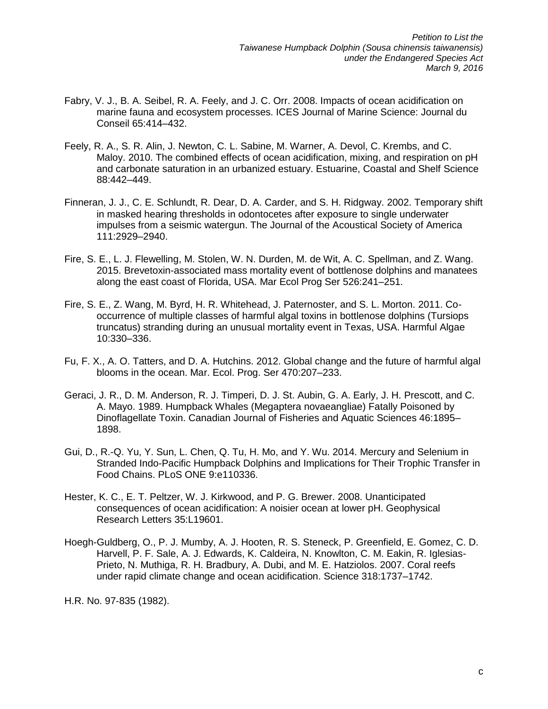- Fabry, V. J., B. A. Seibel, R. A. Feely, and J. C. Orr. 2008. Impacts of ocean acidification on marine fauna and ecosystem processes. ICES Journal of Marine Science: Journal du Conseil 65:414–432.
- Feely, R. A., S. R. Alin, J. Newton, C. L. Sabine, M. Warner, A. Devol, C. Krembs, and C. Maloy. 2010. The combined effects of ocean acidification, mixing, and respiration on pH and carbonate saturation in an urbanized estuary. Estuarine, Coastal and Shelf Science 88:442–449.
- Finneran, J. J., C. E. Schlundt, R. Dear, D. A. Carder, and S. H. Ridgway. 2002. Temporary shift in masked hearing thresholds in odontocetes after exposure to single underwater impulses from a seismic watergun. The Journal of the Acoustical Society of America 111:2929–2940.
- Fire, S. E., L. J. Flewelling, M. Stolen, W. N. Durden, M. de Wit, A. C. Spellman, and Z. Wang. 2015. Brevetoxin-associated mass mortality event of bottlenose dolphins and manatees along the east coast of Florida, USA. Mar Ecol Prog Ser 526:241–251.
- Fire, S. E., Z. Wang, M. Byrd, H. R. Whitehead, J. Paternoster, and S. L. Morton. 2011. Cooccurrence of multiple classes of harmful algal toxins in bottlenose dolphins (Tursiops truncatus) stranding during an unusual mortality event in Texas, USA. Harmful Algae 10:330–336.
- Fu, F. X., A. O. Tatters, and D. A. Hutchins. 2012. Global change and the future of harmful algal blooms in the ocean. Mar. Ecol. Prog. Ser 470:207–233.
- Geraci, J. R., D. M. Anderson, R. J. Timperi, D. J. St. Aubin, G. A. Early, J. H. Prescott, and C. A. Mayo. 1989. Humpback Whales (Megaptera novaeangliae) Fatally Poisoned by Dinoflagellate Toxin. Canadian Journal of Fisheries and Aquatic Sciences 46:1895– 1898.
- Gui, D., R.-Q. Yu, Y. Sun, L. Chen, Q. Tu, H. Mo, and Y. Wu. 2014. Mercury and Selenium in Stranded Indo-Pacific Humpback Dolphins and Implications for Their Trophic Transfer in Food Chains. PLoS ONE 9:e110336.
- Hester, K. C., E. T. Peltzer, W. J. Kirkwood, and P. G. Brewer. 2008. Unanticipated consequences of ocean acidification: A noisier ocean at lower pH. Geophysical Research Letters 35:L19601.
- Hoegh-Guldberg, O., P. J. Mumby, A. J. Hooten, R. S. Steneck, P. Greenfield, E. Gomez, C. D. Harvell, P. F. Sale, A. J. Edwards, K. Caldeira, N. Knowlton, C. M. Eakin, R. Iglesias-Prieto, N. Muthiga, R. H. Bradbury, A. Dubi, and M. E. Hatziolos. 2007. Coral reefs under rapid climate change and ocean acidification. Science 318:1737–1742.

H.R. No. 97‐835 (1982).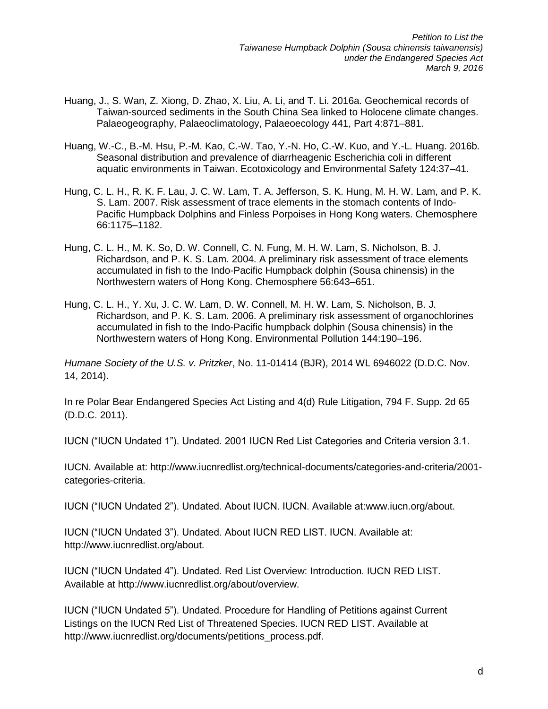- Huang, J., S. Wan, Z. Xiong, D. Zhao, X. Liu, A. Li, and T. Li. 2016a. Geochemical records of Taiwan-sourced sediments in the South China Sea linked to Holocene climate changes. Palaeogeography, Palaeoclimatology, Palaeoecology 441, Part 4:871–881.
- Huang, W.-C., B.-M. Hsu, P.-M. Kao, C.-W. Tao, Y.-N. Ho, C.-W. Kuo, and Y.-L. Huang. 2016b. Seasonal distribution and prevalence of diarrheagenic Escherichia coli in different aquatic environments in Taiwan. Ecotoxicology and Environmental Safety 124:37–41.
- Hung, C. L. H., R. K. F. Lau, J. C. W. Lam, T. A. Jefferson, S. K. Hung, M. H. W. Lam, and P. K. S. Lam. 2007. Risk assessment of trace elements in the stomach contents of Indo-Pacific Humpback Dolphins and Finless Porpoises in Hong Kong waters. Chemosphere 66:1175–1182.
- Hung, C. L. H., M. K. So, D. W. Connell, C. N. Fung, M. H. W. Lam, S. Nicholson, B. J. Richardson, and P. K. S. Lam. 2004. A preliminary risk assessment of trace elements accumulated in fish to the Indo-Pacific Humpback dolphin (Sousa chinensis) in the Northwestern waters of Hong Kong. Chemosphere 56:643–651.
- Hung, C. L. H., Y. Xu, J. C. W. Lam, D. W. Connell, M. H. W. Lam, S. Nicholson, B. J. Richardson, and P. K. S. Lam. 2006. A preliminary risk assessment of organochlorines accumulated in fish to the Indo-Pacific humpback dolphin (Sousa chinensis) in the Northwestern waters of Hong Kong. Environmental Pollution 144:190–196.

*Humane Society of the U.S. v. Pritzker*, No. 11-01414 (BJR), 2014 WL 6946022 (D.D.C. Nov. 14, 2014).

In re Polar Bear Endangered Species Act Listing and 4(d) Rule Litigation, 794 F. Supp. 2d 65 (D.D.C. 2011).

IUCN ("IUCN Undated 1"). Undated. 2001 IUCN Red List Categories and Criteria version 3.1.

IUCN. Available at: http://www.iucnredlist.org/technical-documents/categories-and-criteria/2001 categories-criteria.

IUCN ("IUCN Undated 2"). Undated. About IUCN. IUCN. Available at:www.iucn.org/about.

IUCN ("IUCN Undated 3"). Undated. About IUCN RED LIST. IUCN. Available at: http://www.iucnredlist.org/about.

IUCN ("IUCN Undated 4"). Undated. Red List Overview: Introduction. IUCN RED LIST. Available at http://www.iucnredlist.org/about/overview.

IUCN ("IUCN Undated 5"). Undated. Procedure for Handling of Petitions against Current Listings on the IUCN Red List of Threatened Species. IUCN RED LIST. Available at http://www.iucnredlist.org/documents/petitions\_process.pdf.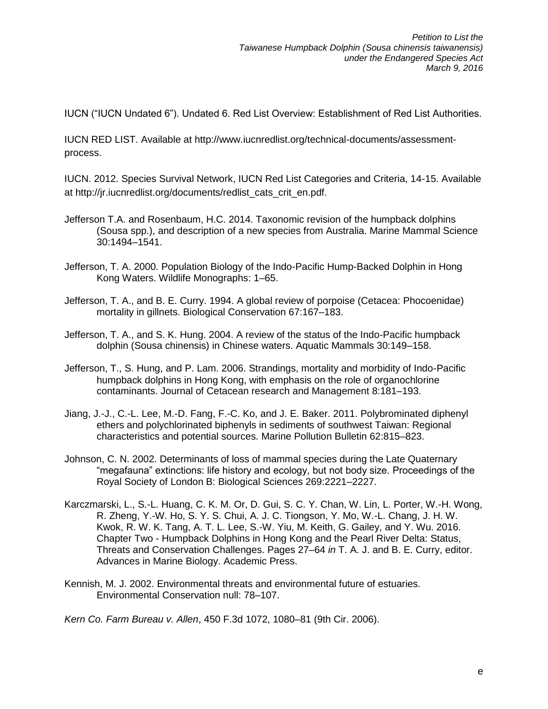IUCN ("IUCN Undated 6"). Undated 6. Red List Overview: Establishment of Red List Authorities.

IUCN RED LIST. Available at http://www.iucnredlist.org/technical-documents/assessmentprocess.

IUCN. 2012. Species Survival Network, IUCN Red List Categories and Criteria, 14-15. Available at http://jr.iucnredlist.org/documents/redlist\_cats\_crit\_en.pdf.

- Jefferson T.A. and Rosenbaum, H.C. 2014. Taxonomic revision of the humpback dolphins (Sousa spp.), and description of a new species from Australia. Marine Mammal Science 30:1494–1541.
- Jefferson, T. A. 2000. Population Biology of the Indo-Pacific Hump-Backed Dolphin in Hong Kong Waters. Wildlife Monographs: 1–65.
- Jefferson, T. A., and B. E. Curry. 1994. A global review of porpoise (Cetacea: Phocoenidae) mortality in gillnets. Biological Conservation 67:167–183.
- Jefferson, T. A., and S. K. Hung. 2004. A review of the status of the Indo-Pacific humpback dolphin (Sousa chinensis) in Chinese waters. Aquatic Mammals 30:149–158.
- Jefferson, T., S. Hung, and P. Lam. 2006. Strandings, mortality and morbidity of Indo-Pacific humpback dolphins in Hong Kong, with emphasis on the role of organochlorine contaminants. Journal of Cetacean research and Management 8:181–193.
- Jiang, J.-J., C.-L. Lee, M.-D. Fang, F.-C. Ko, and J. E. Baker. 2011. Polybrominated diphenyl ethers and polychlorinated biphenyls in sediments of southwest Taiwan: Regional characteristics and potential sources. Marine Pollution Bulletin 62:815–823.
- Johnson, C. N. 2002. Determinants of loss of mammal species during the Late Quaternary "megafauna" extinctions: life history and ecology, but not body size. Proceedings of the Royal Society of London B: Biological Sciences 269:2221–2227.
- Karczmarski, L., S.-L. Huang, C. K. M. Or, D. Gui, S. C. Y. Chan, W. Lin, L. Porter, W.-H. Wong, R. Zheng, Y.-W. Ho, S. Y. S. Chui, A. J. C. Tiongson, Y. Mo, W.-L. Chang, J. H. W. Kwok, R. W. K. Tang, A. T. L. Lee, S.-W. Yiu, M. Keith, G. Gailey, and Y. Wu. 2016. Chapter Two - Humpback Dolphins in Hong Kong and the Pearl River Delta: Status, Threats and Conservation Challenges. Pages 27–64 *in* T. A. J. and B. E. Curry, editor. Advances in Marine Biology. Academic Press.
- Kennish, M. J. 2002. Environmental threats and environmental future of estuaries. Environmental Conservation null: 78–107.

*Kern Co. Farm Bureau v. Allen*, 450 F.3d 1072, 1080–81 (9th Cir. 2006).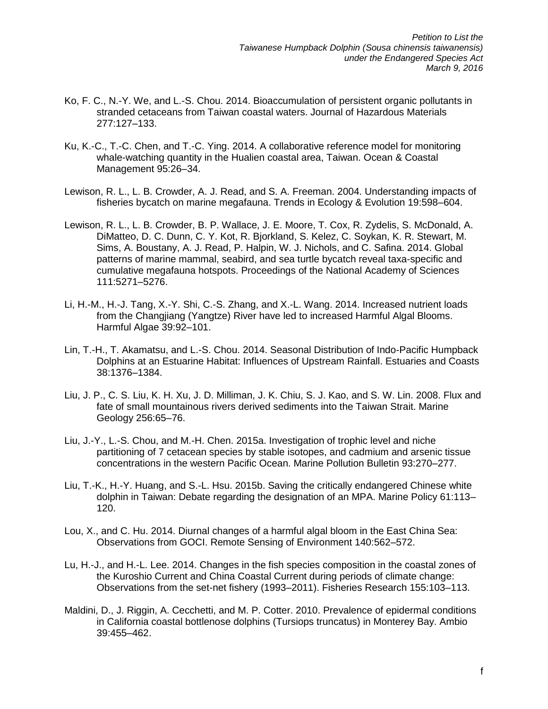- Ko, F. C., N.-Y. We, and L.-S. Chou. 2014. Bioaccumulation of persistent organic pollutants in stranded cetaceans from Taiwan coastal waters. Journal of Hazardous Materials 277:127–133.
- Ku, K.-C., T.-C. Chen, and T.-C. Ying. 2014. A collaborative reference model for monitoring whale-watching quantity in the Hualien coastal area, Taiwan. Ocean & Coastal Management 95:26–34.
- Lewison, R. L., L. B. Crowder, A. J. Read, and S. A. Freeman. 2004. Understanding impacts of fisheries bycatch on marine megafauna. Trends in Ecology & Evolution 19:598–604.
- Lewison, R. L., L. B. Crowder, B. P. Wallace, J. E. Moore, T. Cox, R. Zydelis, S. McDonald, A. DiMatteo, D. C. Dunn, C. Y. Kot, R. Bjorkland, S. Kelez, C. Soykan, K. R. Stewart, M. Sims, A. Boustany, A. J. Read, P. Halpin, W. J. Nichols, and C. Safina. 2014. Global patterns of marine mammal, seabird, and sea turtle bycatch reveal taxa-specific and cumulative megafauna hotspots. Proceedings of the National Academy of Sciences 111:5271–5276.
- Li, H.-M., H.-J. Tang, X.-Y. Shi, C.-S. Zhang, and X.-L. Wang. 2014. Increased nutrient loads from the Changjiang (Yangtze) River have led to increased Harmful Algal Blooms. Harmful Algae 39:92–101.
- Lin, T.-H., T. Akamatsu, and L.-S. Chou. 2014. Seasonal Distribution of Indo-Pacific Humpback Dolphins at an Estuarine Habitat: Influences of Upstream Rainfall. Estuaries and Coasts 38:1376–1384.
- Liu, J. P., C. S. Liu, K. H. Xu, J. D. Milliman, J. K. Chiu, S. J. Kao, and S. W. Lin. 2008. Flux and fate of small mountainous rivers derived sediments into the Taiwan Strait. Marine Geology 256:65–76.
- Liu, J.-Y., L.-S. Chou, and M.-H. Chen. 2015a. Investigation of trophic level and niche partitioning of 7 cetacean species by stable isotopes, and cadmium and arsenic tissue concentrations in the western Pacific Ocean. Marine Pollution Bulletin 93:270–277.
- Liu, T.-K., H.-Y. Huang, and S.-L. Hsu. 2015b. Saving the critically endangered Chinese white dolphin in Taiwan: Debate regarding the designation of an MPA. Marine Policy 61:113– 120.
- Lou, X., and C. Hu. 2014. Diurnal changes of a harmful algal bloom in the East China Sea: Observations from GOCI. Remote Sensing of Environment 140:562–572.
- Lu, H.-J., and H.-L. Lee. 2014. Changes in the fish species composition in the coastal zones of the Kuroshio Current and China Coastal Current during periods of climate change: Observations from the set-net fishery (1993–2011). Fisheries Research 155:103–113.
- Maldini, D., J. Riggin, A. Cecchetti, and M. P. Cotter. 2010. Prevalence of epidermal conditions in California coastal bottlenose dolphins (Tursiops truncatus) in Monterey Bay. Ambio 39:455–462.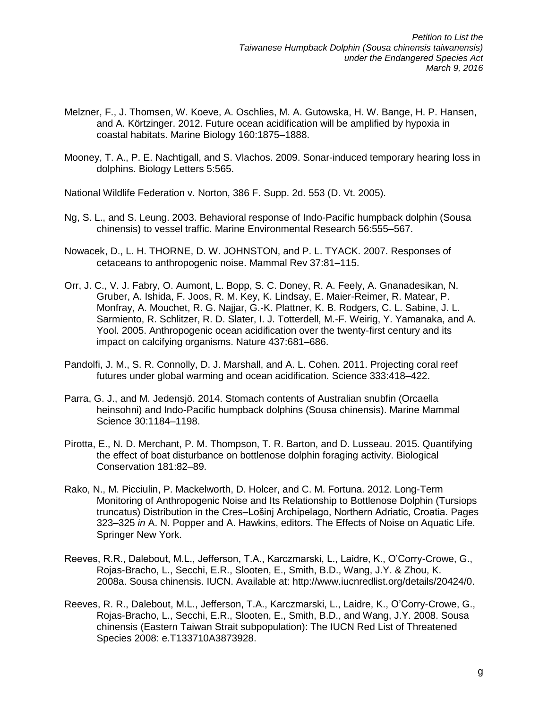- Melzner, F., J. Thomsen, W. Koeve, A. Oschlies, M. A. Gutowska, H. W. Bange, H. P. Hansen, and A. Körtzinger. 2012. Future ocean acidification will be amplified by hypoxia in coastal habitats. Marine Biology 160:1875–1888.
- Mooney, T. A., P. E. Nachtigall, and S. Vlachos. 2009. Sonar-induced temporary hearing loss in dolphins. Biology Letters 5:565.

National Wildlife Federation v. Norton, 386 F. Supp. 2d. 553 (D. Vt. 2005).

- Ng, S. L., and S. Leung. 2003. Behavioral response of Indo-Pacific humpback dolphin (Sousa chinensis) to vessel traffic. Marine Environmental Research 56:555–567.
- Nowacek, D., L. H. THORNE, D. W. JOHNSTON, and P. L. TYACK. 2007. Responses of cetaceans to anthropogenic noise. Mammal Rev 37:81–115.
- Orr, J. C., V. J. Fabry, O. Aumont, L. Bopp, S. C. Doney, R. A. Feely, A. Gnanadesikan, N. Gruber, A. Ishida, F. Joos, R. M. Key, K. Lindsay, E. Maier-Reimer, R. Matear, P. Monfray, A. Mouchet, R. G. Najjar, G.-K. Plattner, K. B. Rodgers, C. L. Sabine, J. L. Sarmiento, R. Schlitzer, R. D. Slater, I. J. Totterdell, M.-F. Weirig, Y. Yamanaka, and A. Yool. 2005. Anthropogenic ocean acidification over the twenty-first century and its impact on calcifying organisms. Nature 437:681–686.
- Pandolfi, J. M., S. R. Connolly, D. J. Marshall, and A. L. Cohen. 2011. Projecting coral reef futures under global warming and ocean acidification. Science 333:418–422.
- Parra, G. J., and M. Jedensjö. 2014. Stomach contents of Australian snubfin (Orcaella heinsohni) and Indo-Pacific humpback dolphins (Sousa chinensis). Marine Mammal Science 30:1184–1198.
- Pirotta, E., N. D. Merchant, P. M. Thompson, T. R. Barton, and D. Lusseau. 2015. Quantifying the effect of boat disturbance on bottlenose dolphin foraging activity. Biological Conservation 181:82–89.
- Rako, N., M. Picciulin, P. Mackelworth, D. Holcer, and C. M. Fortuna. 2012. Long-Term Monitoring of Anthropogenic Noise and Its Relationship to Bottlenose Dolphin (Tursiops truncatus) Distribution in the Cres–Lošinj Archipelago, Northern Adriatic, Croatia. Pages 323–325 *in* A. N. Popper and A. Hawkins, editors. The Effects of Noise on Aquatic Life. Springer New York.
- Reeves, R.R., Dalebout, M.L., Jefferson, T.A., Karczmarski, L., Laidre, K., O'Corry-Crowe, G., Rojas-Bracho, L., Secchi, E.R., Slooten, E., Smith, B.D., Wang, J.Y. & Zhou, K. 2008a. Sousa chinensis. IUCN. Available at: [http://www.iucnredlist.org/details/20424/0.](http://www.iucnredlist.org/details/20424/0)
- Reeves, R. R., Dalebout, M.L., Jefferson, T.A., Karczmarski, L., Laidre, K., O'Corry-Crowe, G., Rojas-Bracho, L., Secchi, E.R., Slooten, E., Smith, B.D., and Wang, J.Y. 2008. Sousa chinensis (Eastern Taiwan Strait subpopulation): The IUCN Red List of Threatened Species 2008: e.T133710A3873928.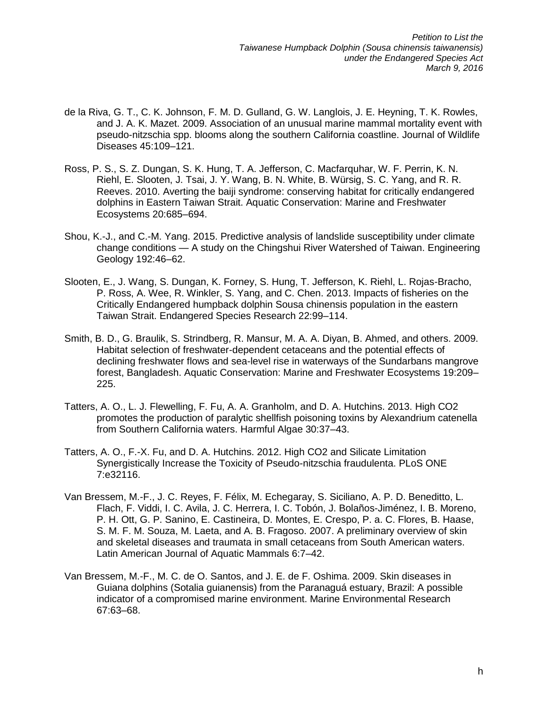- de la Riva, G. T., C. K. Johnson, F. M. D. Gulland, G. W. Langlois, J. E. Heyning, T. K. Rowles, and J. A. K. Mazet. 2009. Association of an unusual marine mammal mortality event with pseudo-nitzschia spp. blooms along the southern California coastline. Journal of Wildlife Diseases 45:109–121.
- Ross, P. S., S. Z. Dungan, S. K. Hung, T. A. Jefferson, C. Macfarquhar, W. F. Perrin, K. N. Riehl, E. Slooten, J. Tsai, J. Y. Wang, B. N. White, B. Würsig, S. C. Yang, and R. R. Reeves. 2010. Averting the baiji syndrome: conserving habitat for critically endangered dolphins in Eastern Taiwan Strait. Aquatic Conservation: Marine and Freshwater Ecosystems 20:685–694.
- Shou, K.-J., and C.-M. Yang. 2015. Predictive analysis of landslide susceptibility under climate change conditions — A study on the Chingshui River Watershed of Taiwan. Engineering Geology 192:46–62.
- Slooten, E., J. Wang, S. Dungan, K. Forney, S. Hung, T. Jefferson, K. Riehl, L. Rojas-Bracho, P. Ross, A. Wee, R. Winkler, S. Yang, and C. Chen. 2013. Impacts of fisheries on the Critically Endangered humpback dolphin Sousa chinensis population in the eastern Taiwan Strait. Endangered Species Research 22:99–114.
- Smith, B. D., G. Braulik, S. Strindberg, R. Mansur, M. A. A. Diyan, B. Ahmed, and others. 2009. Habitat selection of freshwater-dependent cetaceans and the potential effects of declining freshwater flows and sea-level rise in waterways of the Sundarbans mangrove forest, Bangladesh. Aquatic Conservation: Marine and Freshwater Ecosystems 19:209– 225.
- Tatters, A. O., L. J. Flewelling, F. Fu, A. A. Granholm, and D. A. Hutchins. 2013. High CO2 promotes the production of paralytic shellfish poisoning toxins by Alexandrium catenella from Southern California waters. Harmful Algae 30:37–43.
- Tatters, A. O., F.-X. Fu, and D. A. Hutchins. 2012. High CO2 and Silicate Limitation Synergistically Increase the Toxicity of Pseudo-nitzschia fraudulenta. PLoS ONE 7:e32116.
- Van Bressem, M.-F., J. C. Reyes, F. Félix, M. Echegaray, S. Siciliano, A. P. D. Beneditto, L. Flach, F. Viddi, I. C. Avila, J. C. Herrera, I. C. Tobón, J. Bolaños-Jiménez, I. B. Moreno, P. H. Ott, G. P. Sanino, E. Castineira, D. Montes, E. Crespo, P. a. C. Flores, B. Haase, S. M. F. M. Souza, M. Laeta, and A. B. Fragoso. 2007. A preliminary overview of skin and skeletal diseases and traumata in small cetaceans from South American waters. Latin American Journal of Aquatic Mammals 6:7–42.
- Van Bressem, M.-F., M. C. de O. Santos, and J. E. de F. Oshima. 2009. Skin diseases in Guiana dolphins (Sotalia guianensis) from the Paranaguá estuary, Brazil: A possible indicator of a compromised marine environment. Marine Environmental Research 67:63–68.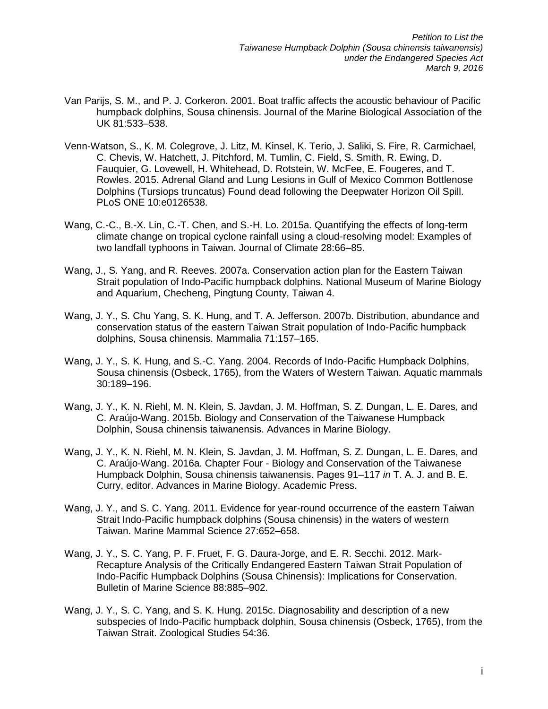- Van Parijs, S. M., and P. J. Corkeron. 2001. Boat traffic affects the acoustic behaviour of Pacific humpback dolphins, Sousa chinensis. Journal of the Marine Biological Association of the UK 81:533–538.
- Venn-Watson, S., K. M. Colegrove, J. Litz, M. Kinsel, K. Terio, J. Saliki, S. Fire, R. Carmichael, C. Chevis, W. Hatchett, J. Pitchford, M. Tumlin, C. Field, S. Smith, R. Ewing, D. Fauquier, G. Lovewell, H. Whitehead, D. Rotstein, W. McFee, E. Fougeres, and T. Rowles. 2015. Adrenal Gland and Lung Lesions in Gulf of Mexico Common Bottlenose Dolphins (Tursiops truncatus) Found dead following the Deepwater Horizon Oil Spill. PLoS ONE 10:e0126538.
- Wang, C.-C., B.-X. Lin, C.-T. Chen, and S.-H. Lo. 2015a. Quantifying the effects of long-term climate change on tropical cyclone rainfall using a cloud-resolving model: Examples of two landfall typhoons in Taiwan. Journal of Climate 28:66–85.
- Wang, J., S. Yang, and R. Reeves. 2007a. Conservation action plan for the Eastern Taiwan Strait population of Indo-Pacific humpback dolphins. National Museum of Marine Biology and Aquarium, Checheng, Pingtung County, Taiwan 4.
- Wang, J. Y., S. Chu Yang, S. K. Hung, and T. A. Jefferson. 2007b. Distribution, abundance and conservation status of the eastern Taiwan Strait population of Indo-Pacific humpback dolphins, Sousa chinensis. Mammalia 71:157–165.
- Wang, J. Y., S. K. Hung, and S.-C. Yang. 2004. Records of Indo-Pacific Humpback Dolphins, Sousa chinensis (Osbeck, 1765), from the Waters of Western Taiwan. Aquatic mammals 30:189–196.
- Wang, J. Y., K. N. Riehl, M. N. Klein, S. Javdan, J. M. Hoffman, S. Z. Dungan, L. E. Dares, and C. Araújo-Wang. 2015b. Biology and Conservation of the Taiwanese Humpback Dolphin, Sousa chinensis taiwanensis. Advances in Marine Biology.
- Wang, J. Y., K. N. Riehl, M. N. Klein, S. Javdan, J. M. Hoffman, S. Z. Dungan, L. E. Dares, and C. Araújo-Wang. 2016a. Chapter Four - Biology and Conservation of the Taiwanese Humpback Dolphin, Sousa chinensis taiwanensis. Pages 91–117 *in* T. A. J. and B. E. Curry, editor. Advances in Marine Biology. Academic Press.
- Wang, J. Y., and S. C. Yang. 2011. Evidence for year-round occurrence of the eastern Taiwan Strait Indo-Pacific humpback dolphins (Sousa chinensis) in the waters of western Taiwan. Marine Mammal Science 27:652–658.
- Wang, J. Y., S. C. Yang, P. F. Fruet, F. G. Daura-Jorge, and E. R. Secchi. 2012. Mark-Recapture Analysis of the Critically Endangered Eastern Taiwan Strait Population of Indo-Pacific Humpback Dolphins (Sousa Chinensis): Implications for Conservation. Bulletin of Marine Science 88:885–902.
- Wang, J. Y., S. C. Yang, and S. K. Hung. 2015c. Diagnosability and description of a new subspecies of Indo-Pacific humpback dolphin, Sousa chinensis (Osbeck, 1765), from the Taiwan Strait. Zoological Studies 54:36.